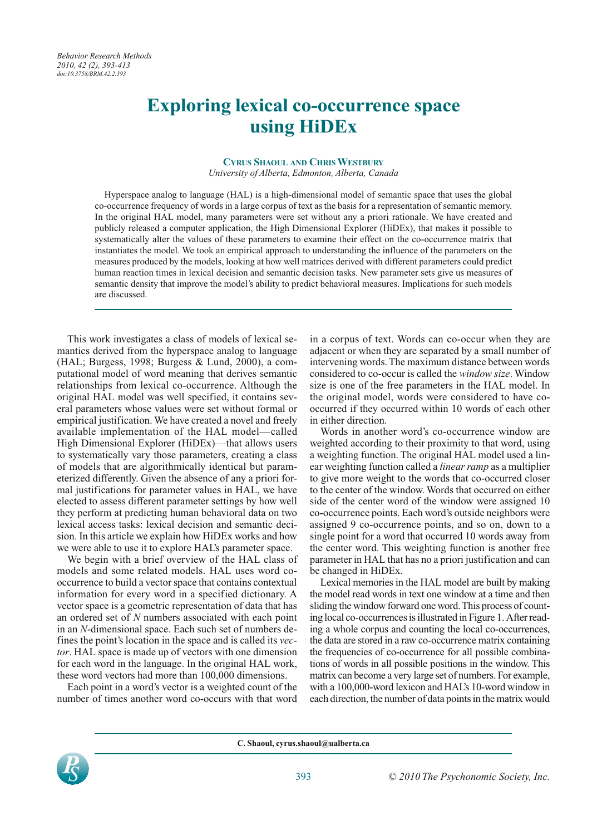# **Exploring lexical co-occurrence space using HiDEx**

## **CYRUS SHAOUL AND CHRIS WESTBURY**

*University of Alberta, Edmonton, Alberta, Canada*

Hyperspace analog to language (HAL) is a high-dimensional model of semantic space that uses the global co-occurrence frequency of words in a large corpus of text as the basis for a representation of semantic memory. In the original HAL model, many parameters were set without any a priori rationale. We have created and publicly released a computer application, the High Dimensional Explorer (HiDEx), that makes it possible to systematically alter the values of these parameters to examine their effect on the co-occurrence matrix that instantiates the model. We took an empirical approach to understanding the influence of the parameters on the measures produced by the models, looking at how well matrices derived with different parameters could predict human reaction times in lexical decision and semantic decision tasks. New parameter sets give us measures of semantic density that improve the model's ability to predict behavioral measures. Implications for such models are discussed.

This work investigates a class of models of lexical semantics derived from the hyperspace analog to language (HAL; Burgess, 1998; Burgess & Lund, 2000), a computational model of word meaning that derives semantic relationships from lexical co-occurrence. Although the original HAL model was well specified, it contains several parameters whose values were set without formal or empirical justification. We have created a novel and freely available implementation of the HAL model—called High Dimensional Explorer (HiDEx)—that allows users to systematically vary those parameters, creating a class of models that are algorithmically identical but parameterized differently. Given the absence of any a priori formal justifications for parameter values in HAL, we have elected to assess different parameter settings by how well they perform at predicting human behavioral data on two lexical access tasks: lexical decision and semantic decision. In this article we explain how HiDEx works and how we were able to use it to explore HAL's parameter space.

We begin with a brief overview of the HAL class of models and some related models. HAL uses word co occurrence to build a vector space that contains contextual information for every word in a specified dictionary. A vector space is a geometric representation of data that has an ordered set of *N* numbers associated with each point in an *N*-dimensional space. Each such set of numbers defines the point's location in the space and is called its *vector*. HAL space is made up of vectors with one dimension for each word in the language. In the original HAL work, these word vectors had more than 100,000 dimensions.

Each point in a word's vector is a weighted count of the number of times another word co-occurs with that word in a corpus of text. Words can co-occur when they are adjacent or when they are separated by a small number of intervening words. The maximum distance between words considered to co-occur is called the *window size*. Window size is one of the free parameters in the HAL model. In the original model, words were considered to have cooccurred if they occurred within 10 words of each other in either direction.

Words in another word's co-occurrence window are weighted according to their proximity to that word, using a weighting function. The original HAL model used a linear weighting function called a *linear ramp* as a multiplier to give more weight to the words that co-occurred closer to the center of the window. Words that occurred on either side of the center word of the window were assigned 10 co-occurrence points. Each word's outside neighbors were assigned 9 co-occurrence points, and so on, down to a single point for a word that occurred 10 words away from the center word. This weighting function is another free parameter in HAL that has no a priori justification and can be changed in HiDEx.

Lexical memories in the HAL model are built by making the model read words in text one window at a time and then sliding the window forward one word. This process of counting local co-occurrences is illustrated in Figure 1. After reading a whole corpus and counting the local co- occurrences, the data are stored in a raw co-occurrence matrix containing the frequencies of co-occurrence for all possible combinations of words in all possible positions in the window. This matrix can become a very large set of numbers. For example, with a 100,000-word lexicon and HAL's 10-word window in each direction, the number of data points in the matrix would

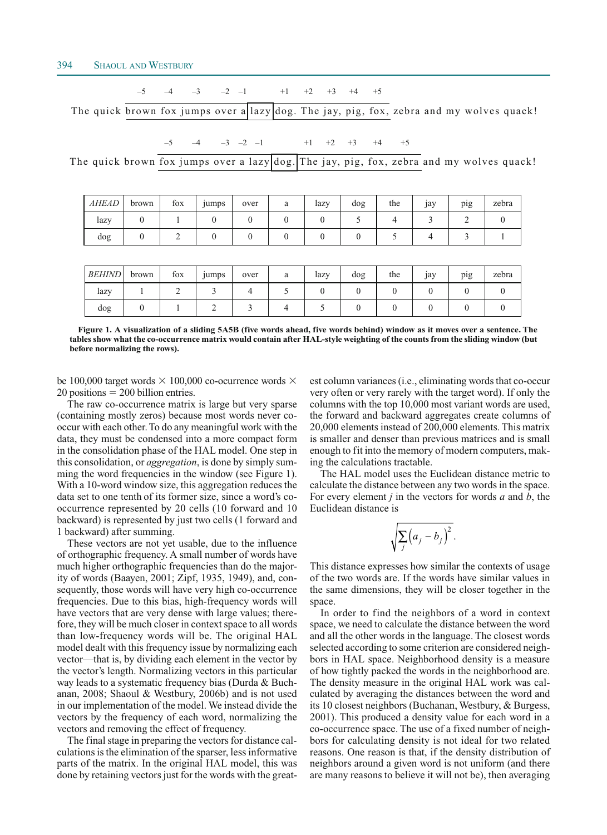## $-5$   $-4$   $-3$   $-2$   $-1$   $+1$   $+2$   $+3$   $+4$   $+5$

The quick brown fox jumps over a lazy dog. The jay, pig, fox, zebra and my wolves quack!

 $-5$   $-4$   $-3$   $-2$   $-1$   $+1$   $+2$   $+3$   $+4$   $+5$ 

The quick brown fox jumps over a lazy dog. The jay, pig, fox, zebra and my wolves quack!

| <i>AHEAD</i> | brown | fox | <i>jumps</i> | over | a | lazy | dog | the | jay | pig | zebra |
|--------------|-------|-----|--------------|------|---|------|-----|-----|-----|-----|-------|
| lazy         |       |     |              |      |   |      |     |     |     |     |       |
| dog          |       |     |              |      |   |      |     |     |     |     |       |

| <b>BEHIND</b> | brown | fox | 1umps | over | a | lazy | dog | the | jay | pig | zebra |
|---------------|-------|-----|-------|------|---|------|-----|-----|-----|-----|-------|
| lazy          |       |     |       |      |   |      |     |     |     |     |       |
| dog           |       |     |       |      |   |      |     |     |     |     |       |

**Figure 1. A visualization of a sliding 5A5B (five words ahead, five words behind) window as it moves over a sentence. The tables show what the co-occurrence matrix would contain after HAL-style weighting of the counts from the sliding window (but before normalizing the rows).**

be 100,000 target words  $\times$  100,000 co-ocurrence words  $\times$  $20$  positions  $= 200$  billion entries.

The raw co-occurrence matrix is large but very sparse (containing mostly zeros) because most words never cooccur with each other. To do any meaningful work with the data, they must be condensed into a more compact form in the consolidation phase of the HAL model. One step in this consolidation, or *aggregation*, is done by simply summing the word frequencies in the window (see Figure 1). With a 10-word window size, this aggregation reduces the data set to one tenth of its former size, since a word's cooccurrence represented by 20 cells (10 forward and 10 backward) is represented by just two cells (1 forward and 1 backward) after summing.

These vectors are not yet usable, due to the influence of orthographic frequency. A small number of words have much higher orthographic frequencies than do the majority of words (Baayen, 2001; Zipf, 1935, 1949), and, consequently, those words will have very high co-occurrence frequencies. Due to this bias, high-frequency words will have vectors that are very dense with large values; therefore, they will be much closer in context space to all words than low-frequency words will be. The original HAL model dealt with this frequency issue by normalizing each vector—that is, by dividing each element in the vector by the vector's length. Normalizing vectors in this particular way leads to a systematic frequency bias (Durda & Buchanan, 2008; Shaoul & Westbury, 2006b) and is not used in our implementation of the model. We instead divide the vectors by the frequency of each word, normalizing the vectors and removing the effect of frequency.

The final stage in preparing the vectors for distance calculations is the elimination of the sparser, less informative parts of the matrix. In the original HAL model, this was done by retaining vectors just for the words with the greatest column variances (i.e., eliminating words that co-occur very often or very rarely with the target word). If only the columns with the top 10,000 most variant words are used, the forward and backward aggregates create columns of 20,000 elements instead of 200,000 elements. This matrix is smaller and denser than previous matrices and is small enough to fit into the memory of modern computers, making the calculations tractable.

The HAL model uses the Euclidean distance metric to calculate the distance between any two words in the space. For every element *j* in the vectors for words *a* and *b*, the Euclidean distance is

$$
\sqrt{\sum_j (a_j - b_j)^2}.
$$

This distance expresses how similar the contexts of usage of the two words are. If the words have similar values in the same dimensions, they will be closer together in the space.

In order to find the neighbors of a word in context space, we need to calculate the distance between the word and all the other words in the language. The closest words selected according to some criterion are considered neighbors in HAL space. Neighborhood density is a measure of how tightly packed the words in the neighborhood are. The density measure in the original HAL work was calculated by averaging the distances between the word and its 10 closest neighbors (Buchanan, Westbury, & Burgess, 2001). This produced a density value for each word in a co-occurrence space. The use of a fixed number of neighbors for calculating density is not ideal for two related reasons. One reason is that, if the density distribution of neighbors around a given word is not uniform (and there are many reasons to believe it will not be), then averaging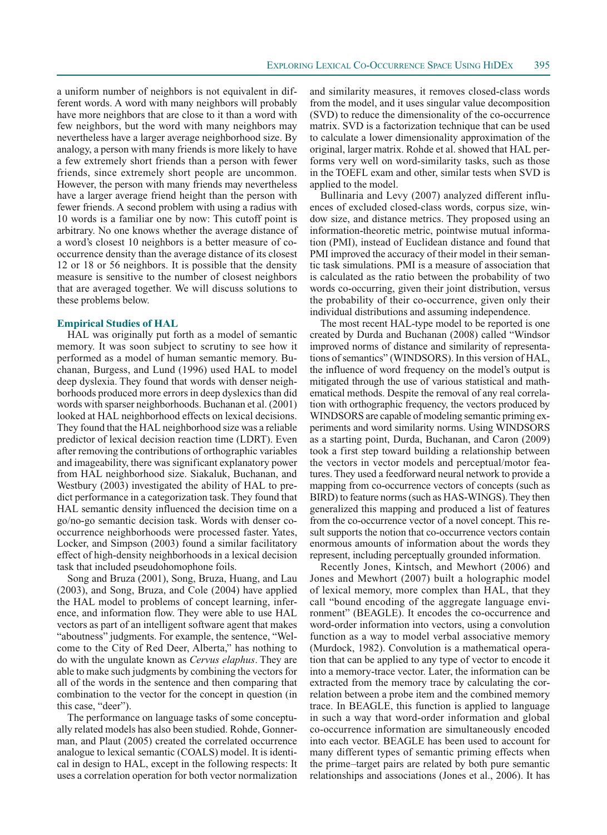a uniform number of neighbors is not equivalent in different words. A word with many neighbors will probably have more neighbors that are close to it than a word with few neighbors, but the word with many neighbors may nevertheless have a larger average neighborhood size. By analogy, a person with many friends is more likely to have a few extremely short friends than a person with fewer friends, since extremely short people are uncommon. However, the person with many friends may nevertheless have a larger average friend height than the person with fewer friends. A second problem with using a radius with 10 words is a familiar one by now: This cutoff point is arbitrary. No one knows whether the average distance of a word's closest 10 neighbors is a better measure of cooccurrence density than the average distance of its closest 12 or 18 or 56 neighbors. It is possible that the density measure is sensitive to the number of closest neighbors that are averaged together. We will discuss solutions to these problems below.

## **Empirical Studies of HAL**

HAL was originally put forth as a model of semantic memory. It was soon subject to scrutiny to see how it performed as a model of human semantic memory. Buchanan, Burgess, and Lund (1996) used HAL to model deep dyslexia. They found that words with denser neighborhoods produced more errors in deep dyslexics than did words with sparser neighborhoods. Buchanan et al. (2001) looked at HAL neighborhood effects on lexical decisions. They found that the HAL neighborhood size was a reliable predictor of lexical decision reaction time (LDRT). Even after removing the contributions of orthographic variables and imageability, there was significant explanatory power from HAL neighborhood size. Siakaluk, Buchanan, and Westbury (2003) investigated the ability of HAL to predict performance in a categorization task. They found that HAL semantic density influenced the decision time on a go/no-go semantic decision task. Words with denser cooccurrence neighborhoods were processed faster. Yates, Locker, and Simpson (2003) found a similar facilitatory effect of high-density neighborhoods in a lexical decision task that included pseudohomophone foils.

Song and Bruza (2001), Song, Bruza, Huang, and Lau (2003), and Song, Bruza, and Cole (2004) have applied the HAL model to problems of concept learning, inference, and information flow. They were able to use HAL vectors as part of an intelligent software agent that makes "aboutness" judgments. For example, the sentence, "Welcome to the City of Red Deer, Alberta," has nothing to do with the ungulate known as *Cervus elaphus*. They are able to make such judgments by combining the vectors for all of the words in the sentence and then comparing that combination to the vector for the concept in question (in this case, "deer").

The performance on language tasks of some conceptually related models has also been studied. Rohde, Gonnerman, and Plaut (2005) created the correlated occurrence analogue to lexical semantic (COALS) model. It is identical in design to HAL, except in the following respects: It uses a correlation operation for both vector normalization and similarity measures, it removes closed-class words from the model, and it uses singular value decomposition (SVD) to reduce the dimensionality of the co-occurrence matrix. SVD is a factorization technique that can be used to calculate a lower dimensionality approximation of the original, larger matrix. Rohde et al. showed that HAL performs very well on word-similarity tasks, such as those in the TOEFL exam and other, similar tests when SVD is applied to the model.

Bullinaria and Levy (2007) analyzed different influences of excluded closed-class words, corpus size, window size, and distance metrics. They proposed using an information-theoretic metric, pointwise mutual information (PMI), instead of Euclidean distance and found that PMI improved the accuracy of their model in their semantic task simulations. PMI is a measure of association that is calculated as the ratio between the probability of two words co-occurring, given their joint distribution, versus the probability of their co-occurrence, given only their individual distributions and assuming independence.

The most recent HAL-type model to be reported is one created by Durda and Buchanan (2008) called "Windsor improved norms of distance and similarity of representations of semantics" (WINDSORS). In this version of HAL, the influence of word frequency on the model's output is mitigated through the use of various statistical and mathematical methods. Despite the removal of any real correlation with orthographic frequency, the vectors produced by WINDSORS are capable of modeling semantic priming experiments and word similarity norms. Using WINDSORS as a starting point, Durda, Buchanan, and Caron (2009) took a first step toward building a relationship between the vectors in vector models and perceptual/motor features. They used a feedforward neural network to provide a mapping from co-occurrence vectors of concepts (such as BIRD) to feature norms (such as HAS-WINGS). They then generalized this mapping and produced a list of features from the co-occurrence vector of a novel concept. This result supports the notion that co-occurrence vectors contain enormous amounts of information about the words they represent, including perceptually grounded information.

Recently Jones, Kintsch, and Mewhort (2006) and Jones and Mewhort (2007) built a holographic model of lexical memory, more complex than HAL, that they call "bound encoding of the aggregate language environment" (BEAGLE). It encodes the co-occurrence and word-order information into vectors, using a convolution function as a way to model verbal associative memory (Murdock, 1982). Convolution is a mathematical operation that can be applied to any type of vector to encode it into a memory- trace vector. Later, the information can be extracted from the memory trace by calculating the correlation between a probe item and the combined memory trace. In BEAGLE, this function is applied to language in such a way that word-order information and global co-occurrence information are simultaneously encoded into each vector. BEAGLE has been used to account for many different types of semantic priming effects when the prime–target pairs are related by both pure semantic relationships and associations (Jones et al., 2006). It has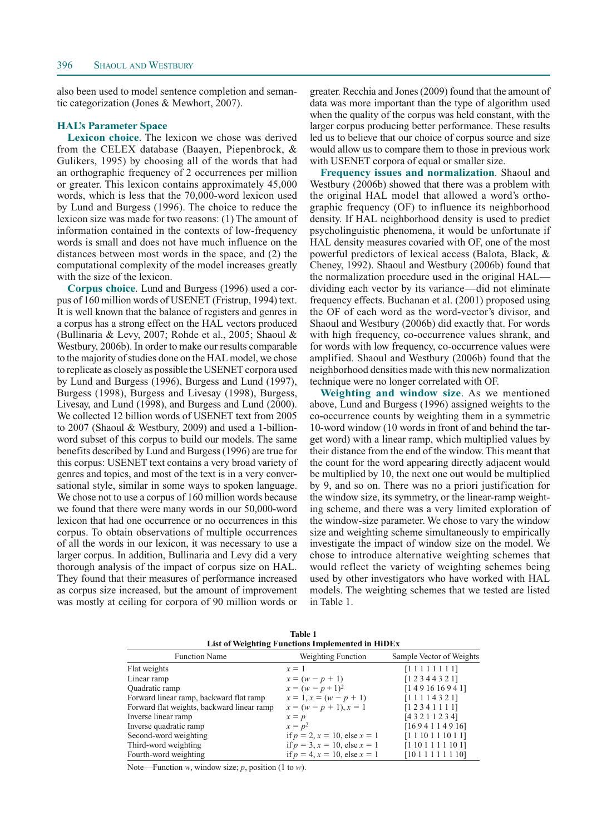also been used to model sentence completion and semantic categorization (Jones & Mewhort, 2007).

## **HAL's Parameter Space**

**Lexicon choice**. The lexicon we chose was derived from the CELEX database (Baayen, Piepenbrock, & Gulikers, 1995) by choosing all of the words that had an orthographic frequency of 2 occurrences per million or greater. This lexicon contains approximately 45,000 words, which is less that the 70,000-word lexicon used by Lund and Burgess (1996). The choice to reduce the lexicon size was made for two reasons: (1) The amount of information contained in the contexts of low-frequency words is small and does not have much influence on the distances between most words in the space, and (2) the computational complexity of the model increases greatly with the size of the lexicon.

**Corpus choice**. Lund and Burgess (1996) used a corpus of 160 million words of USENET (Fristrup, 1994) text. It is well known that the balance of registers and genres in a corpus has a strong effect on the HAL vectors produced (Bullinaria & Levy, 2007; Rohde et al., 2005; Shaoul & Westbury, 2006b). In order to make our results comparable to the majority of studies done on the HAL model, we chose to replicate as closely as possible the USENET corpora used by Lund and Burgess (1996), Burgess and Lund (1997), Burgess (1998), Burgess and Livesay (1998), Burgess, Livesay, and Lund (1998), and Burgess and Lund (2000). We collected 12 billion words of USENET text from 2005 to 2007 (Shaoul & Westbury, 2009) and used a 1-billionword subset of this corpus to build our models. The same benefits described by Lund and Burgess (1996) are true for this corpus: USENET text contains a very broad variety of genres and topics, and most of the text is in a very conversational style, similar in some ways to spoken language. We chose not to use a corpus of 160 million words because we found that there were many words in our 50,000-word lexicon that had one occurrence or no occurrences in this corpus. To obtain observations of multiple occurrences of all the words in our lexicon, it was necessary to use a larger corpus. In addition, Bullinaria and Levy did a very thorough analysis of the impact of corpus size on HAL. They found that their measures of performance increased as corpus size increased, but the amount of improvement was mostly at ceiling for corpora of 90 million words or

greater. Recchia and Jones (2009) found that the amount of data was more important than the type of algorithm used when the quality of the corpus was held constant, with the larger corpus producing better performance. These results led us to believe that our choice of corpus source and size would allow us to compare them to those in previous work with USENET corpora of equal or smaller size.

**Frequency issues and normalization**. Shaoul and Westbury (2006b) showed that there was a problem with the original HAL model that allowed a word's orthographic frequency (OF) to influence its neighborhood density. If HAL neighborhood density is used to predict psycholinguistic phenomena, it would be unfortunate if HAL density measures covaried with OF, one of the most powerful predictors of lexical access (Balota, Black, & Cheney, 1992). Shaoul and Westbury (2006b) found that the normalization procedure used in the original HAL dividing each vector by its variance—did not eliminate frequency effects. Buchanan et al. (2001) proposed using the OF of each word as the word-vector's divisor, and Shaoul and Westbury (2006b) did exactly that. For words with high frequency, co-occurrence values shrank, and for words with low frequency, co-occurrence values were amplified. Shaoul and Westbury (2006b) found that the neighborhood densities made with this new normalization technique were no longer correlated with OF.

**Weighting and window size**. As we mentioned above, Lund and Burgess (1996) assigned weights to the co-occurrence counts by weighting them in a symmetric 10-word window (10 words in front of and behind the target word) with a linear ramp, which multiplied values by their distance from the end of the window. This meant that the count for the word appearing directly adjacent would be multiplied by 10, the next one out would be multiplied by 9, and so on. There was no a priori justification for the window size, its symmetry, or the linear-ramp weighting scheme, and there was a very limited exploration of the window-size parameter. We chose to vary the window size and weighting scheme simultaneously to empirically investigate the impact of window size on the model. We chose to introduce alternative weighting schemes that would reflect the variety of weighting schemes being used by other investigators who have worked with HAL models. The weighting schemes that we tested are listed in Table 1.

| List of Weighting Functions Implemented in HiDEx |                                      |                          |  |  |  |  |  |  |
|--------------------------------------------------|--------------------------------------|--------------------------|--|--|--|--|--|--|
| <b>Function Name</b>                             | Weighting Function                   | Sample Vector of Weights |  |  |  |  |  |  |
| Flat weights                                     | $x = 1$                              | [11111111]               |  |  |  |  |  |  |
| Linear ramp                                      | $x = (w - p + 1)$                    | [12344321]               |  |  |  |  |  |  |
| Quadratic ramp                                   | $x = (w - p + 1)^2$                  | [1491616941]             |  |  |  |  |  |  |
| Forward linear ramp, backward flat ramp          | $x = 1, x = (w - p + 1)$             | [11114321]               |  |  |  |  |  |  |
| Forward flat weights, backward linear ramp       | $x = (w - p + 1), x = 1$             | [1 2 3 4 1 1 1 1]        |  |  |  |  |  |  |
| Inverse linear ramp                              | $x = p$                              | [43211234]               |  |  |  |  |  |  |
| Inverse quadratic ramp                           | $x = p^2$                            | [1694114916]             |  |  |  |  |  |  |
| Second-word weighting                            | if $p = 2$ , $x = 10$ , else $x = 1$ | [1 1 1 0 1 1 1 0 1 1]    |  |  |  |  |  |  |
| Third-word weighting                             | if $p = 3$ , $x = 10$ , else $x = 1$ | [1 10 1 1 1 1 10 1]      |  |  |  |  |  |  |
| Fourth-word weighting                            | if $p = 4$ , $x = 10$ , else $x = 1$ | [10111111110]            |  |  |  |  |  |  |

**Table 1 List of Weighting Functions Implemented in HiDEx**

Note—Function *w*, window size; *p*, position (1 to *w*).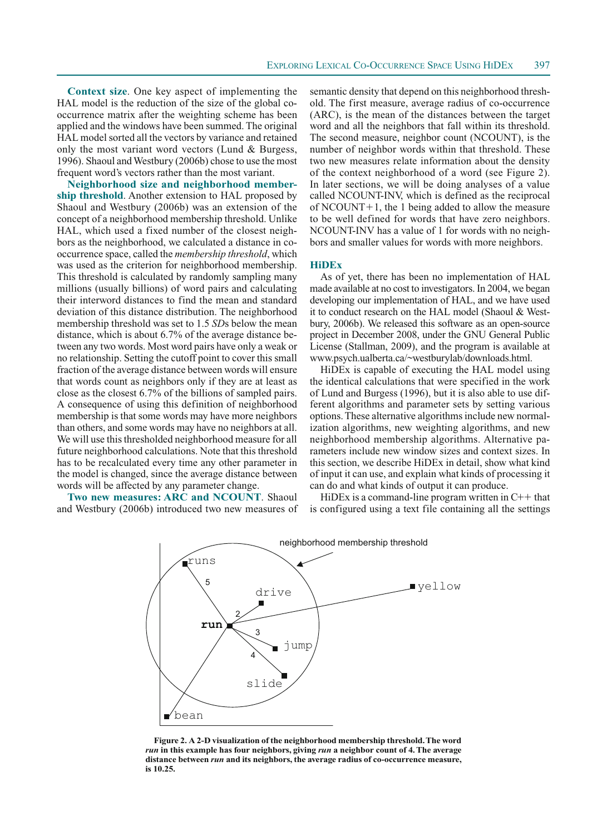**Context size**. One key aspect of implementing the HAL model is the reduction of the size of the global co occurrence matrix after the weighting scheme has been applied and the windows have been summed. The original HAL model sorted all the vectors by variance and retained only the most variant word vectors (Lund & Burgess, 1996). Shaoul and Westbury (2006b) chose to use the most frequent word's vectors rather than the most variant.

**Neighborhood size and neighborhood membership threshold**. Another extension to HAL proposed by Shaoul and Westbury (2006b) was an extension of the concept of a neighborhood membership threshold. Unlike HAL, which used a fixed number of the closest neighbors as the neighborhood, we calculated a distance in co occurrence space, called the *membership threshold*, which was used as the criterion for neighborhood membership. This threshold is calculated by randomly sampling many millions (usually billions) of word pairs and calculating their interword distances to find the mean and standard deviation of this distance distribution. The neighborhood membership threshold was set to 1.5 *SD*s below the mean distance, which is about 6.7% of the average distance between any two words. Most word pairs have only a weak or no relationship. Setting the cutoff point to cover this small fraction of the average distance between words will ensure that words count as neighbors only if they are at least as close as the closest 6.7% of the billions of sampled pairs. A consequence of using this definition of neighborhood membership is that some words may have more neighbors than others, and some words may have no neighbors at all. We will use this thresholded neighborhood measure for all future neighborhood calculations. Note that this threshold has to be recalculated every time any other parameter in the model is changed, since the average distance between words will be affected by any parameter change.

**Two new measures: ARC and NCOUNT**. Shaoul and Westbury (2006b) introduced two new measures of semantic density that depend on this neighborhood threshold. The first measure, average radius of co-occurrence (ARC), is the mean of the distances between the target word and all the neighbors that fall within its threshold. The second measure, neighbor count (NCOUNT), is the number of neighbor words within that threshold. These two new measures relate information about the density of the context neighborhood of a word (see Figure 2). In later sections, we will be doing analyses of a value called NCOUNT-INV, which is defined as the reciprocal of NCOUNT+1, the 1 being added to allow the measure to be well defined for words that have zero neighbors. NCOUNT-INV has a value of 1 for words with no neighbors and smaller values for words with more neighbors.

## **HiDEx**

As of yet, there has been no implementation of HAL made available at no cost to investigators. In 2004, we began developing our implementation of HAL, and we have used it to conduct research on the HAL model (Shaoul & Westbury, 2006b). We released this software as an open-source project in December 2008, under the GNU General Public License (Stallman, 2009), and the program is available at www.psych.ualberta.ca/~westburylab/downloads.html.

HiDEx is capable of executing the HAL model using the identical calculations that were specified in the work of Lund and Burgess (1996), but it is also able to use different algorithms and parameter sets by setting various options. These alternative algorithms include new normalization algorithms, new weighting algorithms, and new neighborhood membership algorithms. Alternative parameters include new window sizes and context sizes. In this section, we describe HiDEx in detail, show what kind of input it can use, and explain what kinds of processing it can do and what kinds of output it can produce.

HiDEx is a command-line program written in  $C++$  that is configured using a text file containing all the settings



**Figure 2. A 2-D visualization of the neighborhood membership threshold. The word**  *run* **in this example has four neighbors, giving** *run* **a neighbor count of 4. The average distance between** *run* **and its neighbors, the average radius of co-occurrence measure, is 10.25.**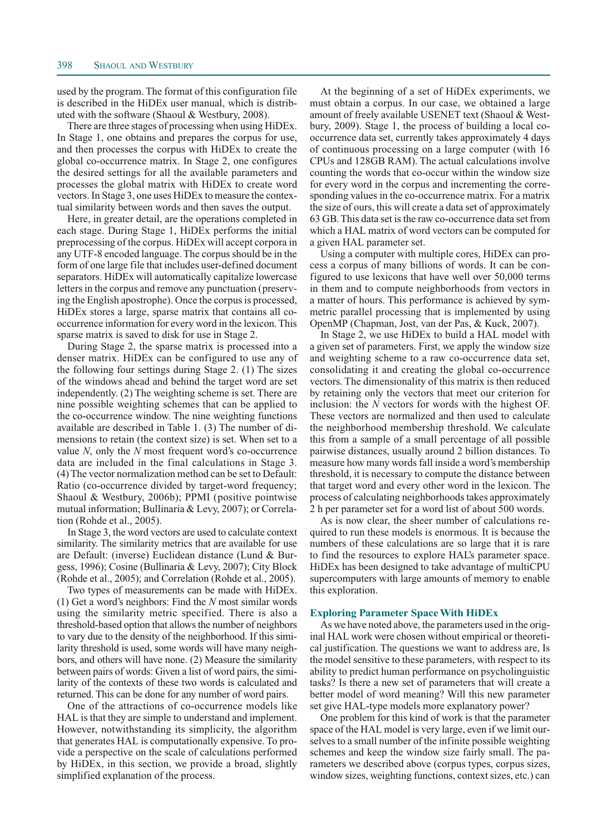used by the program. The format of this configuration file is described in the HiDEx user manual, which is distributed with the software (Shaoul & Westbury, 2008).

There are three stages of processing when using HiDEx. In Stage 1, one obtains and prepares the corpus for use, and then processes the corpus with HiDEx to create the global co-occurrence matrix. In Stage 2, one configures the desired settings for all the available parameters and processes the global matrix with HiDEx to create word vectors. In Stage 3, one uses HiDEx to measure the contextual similarity between words and then saves the output.

Here, in greater detail, are the operations completed in each stage. During Stage 1, HiDEx performs the initial preprocessing of the corpus. HiDEx will accept corpora in any UTF-8 encoded language. The corpus should be in the form of one large file that includes user-defined document separators. HiDEx will automatically capitalize lowercase letters in the corpus and remove any punctuation (preserving the English apostrophe). Once the corpus is processed, HiDEx stores a large, sparse matrix that contains all cooccurrence information for every word in the lexicon. This sparse matrix is saved to disk for use in Stage 2.

During Stage 2, the sparse matrix is processed into a denser matrix. HiDEx can be configured to use any of the following four settings during Stage 2. (1) The sizes of the windows ahead and behind the target word are set independently. (2) The weighting scheme is set. There are nine possible weighting schemes that can be applied to the co-occurrence window. The nine weighting functions available are described in Table 1. (3) The number of dimensions to retain (the context size) is set. When set to a value *N*, only the *N* most frequent word's co-occurrence data are included in the final calculations in Stage 3. (4) The vector normalization method can be set to Default: Ratio (co-occurrence divided by target-word frequency; Shaoul & Westbury, 2006b); PPMI (positive pointwise mutual information; Bullinaria & Levy, 2007); or Correlation (Rohde et al., 2005).

In Stage 3, the word vectors are used to calculate context similarity. The similarity metrics that are available for use are Default: (inverse) Euclidean distance (Lund & Burgess, 1996); Cosine (Bullinaria & Levy, 2007); City Block (Rohde et al., 2005); and Correlation (Rohde et al., 2005).

Two types of measurements can be made with HiDEx. (1) Get a word's neighbors: Find the *N* most similar words using the similarity metric specified. There is also a threshold- based option that allows the number of neighbors to vary due to the density of the neighborhood. If this similarity threshold is used, some words will have many neighbors, and others will have none. (2) Measure the similarity between pairs of words: Given a list of word pairs, the similarity of the contexts of these two words is calculated and returned. This can be done for any number of word pairs.

One of the attractions of co-occurrence models like HAL is that they are simple to understand and implement. However, notwithstanding its simplicity, the algorithm that generates HAL is computationally expensive. To provide a perspective on the scale of calculations performed by HiDEx, in this section, we provide a broad, slightly simplified explanation of the process.

At the beginning of a set of HiDEx experiments, we must obtain a corpus. In our case, we obtained a large amount of freely available USENET text (Shaoul & Westbury, 2009). Stage 1, the process of building a local cooccurrence data set, currently takes approximately 4 days of continuous processing on a large computer (with 16 CPUs and 128GB RAM). The actual calculations involve counting the words that co-occur within the window size for every word in the corpus and incrementing the corresponding values in the co-occurrence matrix. For a matrix the size of ours, this will create a data set of approximately 63 GB. This data set is the raw co-occurrence data set from which a HAL matrix of word vectors can be computed for a given HAL parameter set.

Using a computer with multiple cores, HiDEx can process a corpus of many billions of words. It can be configured to use lexicons that have well over 50,000 terms in them and to compute neighborhoods from vectors in a matter of hours. This performance is achieved by symmetric parallel processing that is implemented by using OpenMP (Chapman, Jost, van der Pas, & Kuck, 2007).

In Stage 2, we use HiDEx to build a HAL model with a given set of parameters. First, we apply the window size and weighting scheme to a raw co-occurrence data set, consolidating it and creating the global co-occurrence vectors. The dimensionality of this matrix is then reduced by retaining only the vectors that meet our criterion for inclusion: the *N* vectors for words with the highest OF. These vectors are normalized and then used to calculate the neighborhood membership threshold. We calculate this from a sample of a small percentage of all possible pairwise distances, usually around 2 billion distances. To measure how many words fall inside a word's membership threshold, it is necessary to compute the distance between that target word and every other word in the lexicon. The process of calculating neighborhoods takes approximately 2 h per parameter set for a word list of about 500 words.

As is now clear, the sheer number of calculations required to run these models is enormous. It is because the numbers of these calculations are so large that it is rare to find the resources to explore HAL's parameter space. HiDEx has been designed to take advantage of multiCPU supercomputers with large amounts of memory to enable this exploration.

### **Exploring Parameter Space With HiDEx**

As we have noted above, the parameters used in the original HAL work were chosen without empirical or theoretical justification. The questions we want to address are, Is the model sensitive to these parameters, with respect to its ability to predict human performance on psycholinguistic tasks? Is there a new set of parameters that will create a better model of word meaning? Will this new parameter set give HAL-type models more explanatory power?

One problem for this kind of work is that the parameter space of the HAL model is very large, even if we limit ourselves to a small number of the infinite possible weighting schemes and keep the window size fairly small. The parameters we described above (corpus types, corpus sizes, window sizes, weighting functions, context sizes, etc.) can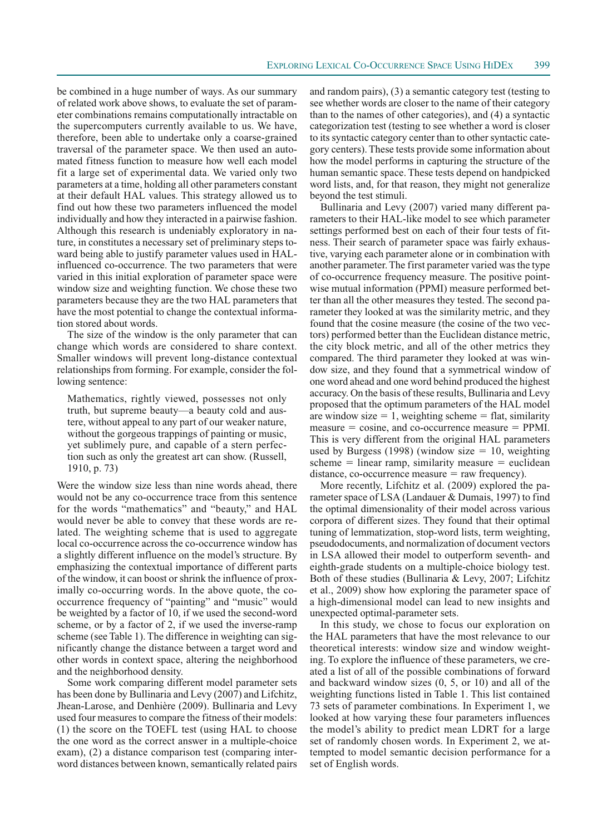be combined in a huge number of ways. As our summary of related work above shows, to evaluate the set of parameter combinations remains computationally intractable on the supercomputers currently available to us. We have, therefore, been able to undertake only a coarse-grained traversal of the parameter space. We then used an automated fitness function to measure how well each model fit a large set of experimental data. We varied only two parameters at a time, holding all other parameters constant at their default HAL values. This strategy allowed us to find out how these two parameters influenced the model individually and how they interacted in a pairwise fashion. Although this research is undeniably exploratory in nature, in constitutes a necessary set of preliminary steps toward being able to justify parameter values used in HALinfluenced co-occurrence. The two parameters that were varied in this initial exploration of parameter space were window size and weighting function. We chose these two parameters because they are the two HAL parameters that have the most potential to change the contextual information stored about words.

The size of the window is the only parameter that can change which words are considered to share context. Smaller windows will prevent long-distance contextual relationships from forming. For example, consider the following sentence:

Mathematics, rightly viewed, possesses not only truth, but supreme beauty—a beauty cold and austere, without appeal to any part of our weaker nature, without the gorgeous trappings of painting or music, yet sublimely pure, and capable of a stern perfection such as only the greatest art can show. (Russell, 1910, p. 73)

Were the window size less than nine words ahead, there would not be any co-occurrence trace from this sentence for the words "mathematics" and "beauty," and HAL would never be able to convey that these words are related. The weighting scheme that is used to aggregate local co-occurrence across the co-occurrence window has a slightly different influence on the model's structure. By emphasizing the contextual importance of different parts of the window, it can boost or shrink the influence of proximally co-occurring words. In the above quote, the cooccurrence frequency of "painting" and "music" would be weighted by a factor of 10, if we used the second-word scheme, or by a factor of 2, if we used the inverse-ramp scheme (see Table 1). The difference in weighting can significantly change the distance between a target word and other words in context space, altering the neighborhood and the neighborhood density.

Some work comparing different model parameter sets has been done by Bullinaria and Levy (2007) and Lifchitz, Jhean-Larose, and Denhière (2009). Bullinaria and Levy used four measures to compare the fitness of their models: (1) the score on the TOEFL test (using HAL to choose the one word as the correct answer in a multiple-choice exam), (2) a distance comparison test (comparing interword distances between known, semantically related pairs and random pairs), (3) a semantic category test (testing to see whether words are closer to the name of their category than to the names of other categories), and (4) a syntactic categorization test (testing to see whether a word is closer to its syntactic category center than to other syntactic category centers). These tests provide some information about how the model performs in capturing the structure of the human semantic space. These tests depend on handpicked word lists, and, for that reason, they might not generalize beyond the test stimuli.

Bullinaria and Levy (2007) varied many different parameters to their HAL-like model to see which parameter settings performed best on each of their four tests of fitness. Their search of parameter space was fairly exhaustive, varying each parameter alone or in combination with another parameter. The first parameter varied was the type of co-occurrence frequency measure. The positive pointwise mutual information (PPMI) measure performed better than all the other measures they tested. The second parameter they looked at was the similarity metric, and they found that the cosine measure (the cosine of the two vectors) performed better than the Euclidean distance metric, the city block metric, and all of the other metrics they compared. The third parameter they looked at was window size, and they found that a symmetrical window of one word ahead and one word behind produced the highest accuracy. On the basis of these results, Bullinaria and Levy proposed that the optimum parameters of the HAL model are window size  $= 1$ , weighting scheme  $=$  flat, similarity  $measure = cosine$ , and co-occurrence measure  $=$  PPMI. This is very different from the original HAL parameters used by Burgess (1998) (window size  $= 10$ , weighting  $scheme = linear ramp, similarity measure = euclidean$  $distance, co-occurrence measure = raw frequency$ .

More recently, Lifchitz et al. (2009) explored the parameter space of LSA (Landauer & Dumais, 1997) to find the optimal dimensionality of their model across various corpora of different sizes. They found that their optimal tuning of lemmatization, stop-word lists, term weighting, pseudodocuments, and normalization of document vectors in LSA allowed their model to outperform seventh- and eighth-grade students on a multiple-choice biology test. Both of these studies (Bullinaria & Levy, 2007; Lifchitz et al., 2009) show how exploring the parameter space of a high-dimensional model can lead to new insights and unexpected optimal-parameter sets.

In this study, we chose to focus our exploration on the HAL parameters that have the most relevance to our theoretical interests: window size and window weighting. To explore the influence of these parameters, we created a list of all of the possible combinations of forward and backward window sizes (0, 5, or 10) and all of the weighting functions listed in Table 1. This list contained 73 sets of parameter combinations. In Experiment 1, we looked at how varying these four parameters influences the model's ability to predict mean LDRT for a large set of randomly chosen words. In Experiment 2, we attempted to model semantic decision performance for a set of English words.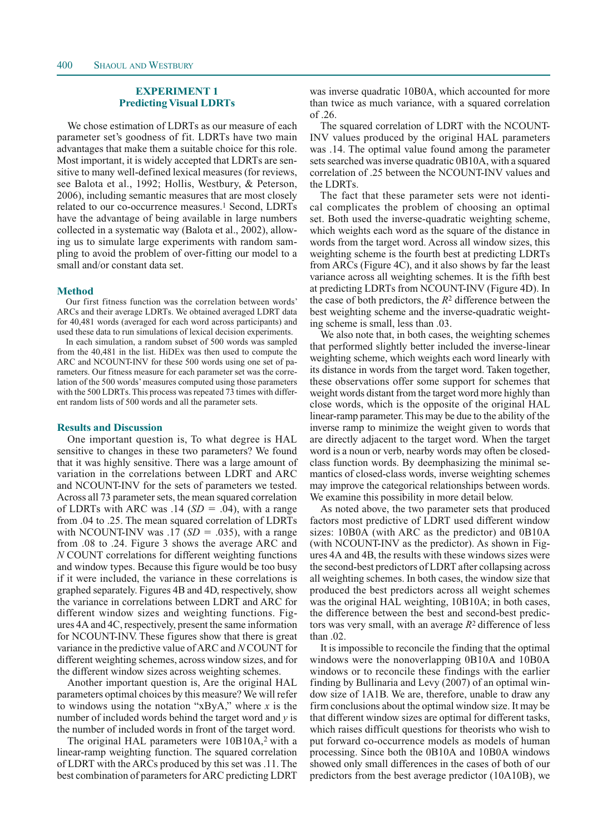# **EXPERIMENT 1 Predicting Visual LDRTs**

We chose estimation of LDRTs as our measure of each parameter set's goodness of fit. LDRTs have two main advantages that make them a suitable choice for this role. Most important, it is widely accepted that LDRTs are sensitive to many well-defined lexical measures (for reviews, see Balota et al., 1992; Hollis, Westbury, & Peterson, 2006), including semantic measures that are most closely related to our co-occurrence measures.<sup>1</sup> Second, LDRTs have the advantage of being available in large numbers collected in a systematic way (Balota et al., 2002), allowing us to simulate large experiments with random sampling to avoid the problem of over-fitting our model to a small and/or constant data set.

#### **Method**

Our first fitness function was the correlation between words' ARCs and their average LDRTs. We obtained averaged LDRT data for 40,481 words (averaged for each word across participants) and used these data to run simulations of lexical decision experiments.

In each simulation, a random subset of 500 words was sampled from the 40,481 in the list. HiDEx was then used to compute the ARC and NCOUNT-INV for these 500 words using one set of parameters. Our fitness measure for each parameter set was the correlation of the 500 words' measures computed using those parameters with the 500 LDRTs. This process was repeated 73 times with different random lists of 500 words and all the parameter sets.

#### **Results and Discussion**

One important question is, To what degree is HAL sensitive to changes in these two parameters? We found that it was highly sensitive. There was a large amount of variation in the correlations between LDRT and ARC and NCOUNT-INV for the sets of parameters we tested. Across all 73 parameter sets, the mean squared correlation of LDRTs with ARC was  $.14$  (*SD* =  $.04$ ), with a range from .04 to .25. The mean squared correlation of LDRTs with NCOUNT-INV was .17  $(SD = .035)$ , with a range from .08 to .24. Figure 3 shows the average ARC and *N* COUNT correlations for different weighting functions and window types. Because this figure would be too busy if it were included, the variance in these correlations is graphed separately. Figures 4B and 4D, respectively, show the variance in correlations between LDRT and ARC for different window sizes and weighting functions. Figures 4A and 4C, respectively, present the same information for NCOUNT-INV. These figures show that there is great variance in the predictive value of ARC and *N* COUNT for different weighting schemes, across window sizes, and for the different window sizes across weighting schemes.

Another important question is, Are the original HAL parameters optimal choices by this measure? We will refer to windows using the notation "xByA," where *x* is the number of included words behind the target word and *y* is the number of included words in front of the target word.

The original HAL parameters were 10B10A,<sup>2</sup> with a linear-ramp weighting function. The squared correlation of LDRT with the ARCs produced by this set was .11. The best combination of parameters for ARC predicting LDRT was inverse quadratic 10B0A, which accounted for more than twice as much variance, with a squared correlation of .26.

The squared correlation of LDRT with the NCOUNT-INV values produced by the original HAL parameters was .14. The optimal value found among the parameter sets searched was inverse quadratic 0B10A, with a squared correlation of .25 between the NCOUNT-INV values and the LDRTs.

The fact that these parameter sets were not identical complicates the problem of choosing an optimal set. Both used the inverse-quadratic weighting scheme, which weights each word as the square of the distance in words from the target word. Across all window sizes, this weighting scheme is the fourth best at predicting LDRTs from ARCs (Figure 4C), and it also shows by far the least variance across all weighting schemes. It is the fifth best at predicting LDRTs from NCOUNT-INV (Figure 4D). In the case of both predictors, the *R*2 difference between the best weighting scheme and the inverse-quadratic weighting scheme is small, less than .03.

We also note that, in both cases, the weighting schemes that performed slightly better included the inverse-linear weighting scheme, which weights each word linearly with its distance in words from the target word. Taken together, these observations offer some support for schemes that weight words distant from the target word more highly than close words, which is the opposite of the original HAL linear-ramp parameter. This may be due to the ability of the inverse ramp to minimize the weight given to words that are directly adjacent to the target word. When the target word is a noun or verb, nearby words may often be closedclass function words. By deemphasizing the minimal semantics of closed-class words, inverse weighting schemes may improve the categorical relationships between words. We examine this possibility in more detail below.

As noted above, the two parameter sets that produced factors most predictive of LDRT used different window sizes: 10B0A (with ARC as the predictor) and 0B10A (with NCOUNT-INV as the predictor). As shown in Figures 4A and 4B, the results with these windows sizes were the second-best predictors of LDRT after collapsing across all weighting schemes. In both cases, the window size that produced the best predictors across all weight schemes was the original HAL weighting, 10B10A; in both cases, the difference between the best and second-best predictors was very small, with an average *R*2 difference of less than .02.

It is impossible to reconcile the finding that the optimal windows were the nonoverlapping 0B10A and 10B0A windows or to reconcile these findings with the earlier finding by Bullinaria and Levy (2007) of an optimal window size of 1A1B. We are, therefore, unable to draw any firm conclusions about the optimal window size. It may be that different window sizes are optimal for different tasks, which raises difficult questions for theorists who wish to put forward co-occurrence models as models of human processing. Since both the 0B10A and 10B0A windows showed only small differences in the cases of both of our predictors from the best average predictor (10A10B), we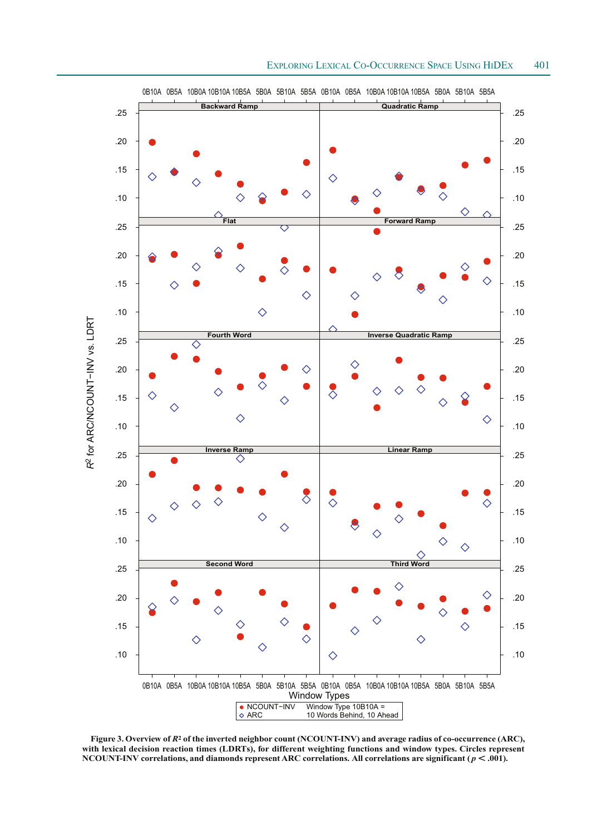

**Figure 3. Overview of** *R***2 of the inverted neighbor count (NCOUNT-INV) and average radius of co-occurrence (ARC), with lexical decision reaction times (LDRTs), for different weighting functions and window types. Circles represent NCOUNT-INV correlations, and diamonds represent ARC correlations. All correlations are significant (** *p*  **.001).**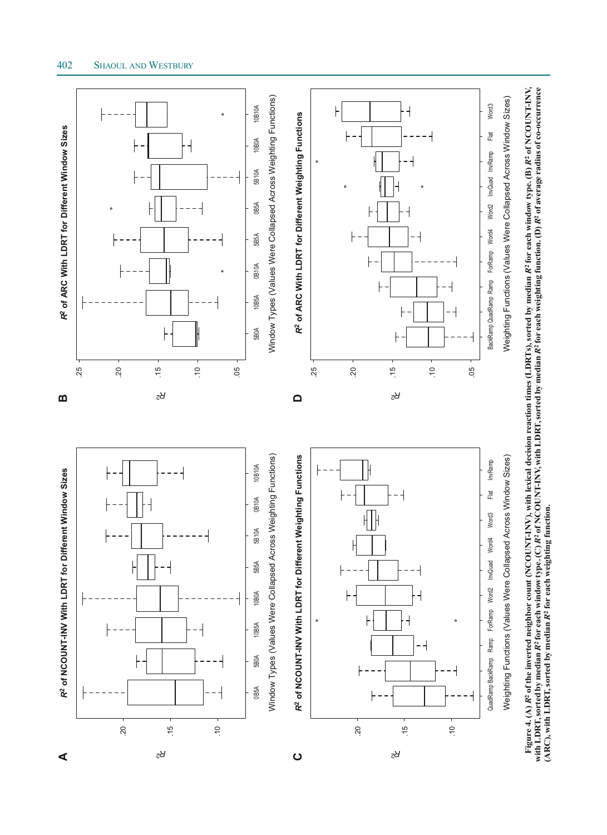



Weighting Functions (Values Were Collapsed Across Window Sizes) Weighting Functions (Values Were Collapsed Across Window Sizes)

Weighting Functions (Values Were Collapsed Across Window Sizes)

**Neighting Functions (Values Were Collapsed Across Window Sizes)**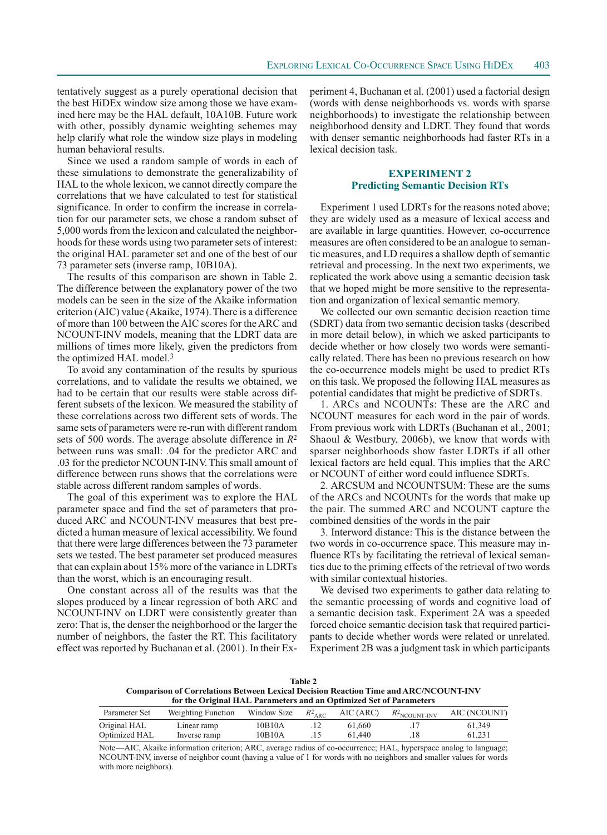tentatively suggest as a purely operational decision that the best HiDEx window size among those we have examined here may be the HAL default, 10A10B. Future work with other, possibly dynamic weighting schemes may help clarify what role the window size plays in modeling human behavioral results.

Since we used a random sample of words in each of these simulations to demonstrate the generalizability of HAL to the whole lexicon, we cannot directly compare the correlations that we have calculated to test for statistical significance. In order to confirm the increase in correlation for our parameter sets, we chose a random subset of 5,000 words from the lexicon and calculated the neighborhoods for these words using two parameter sets of interest: the original HAL parameter set and one of the best of our 73 parameter sets (inverse ramp, 10B10A).

The results of this comparison are shown in Table 2. The difference between the explanatory power of the two models can be seen in the size of the Akaike information criterion (AIC) value (Akaike, 1974). There is a difference of more than 100 between the AIC scores for the ARC and NCOUNT-INV models, meaning that the LDRT data are millions of times more likely, given the predictors from the optimized HAL model.3

To avoid any contamination of the results by spurious correlations, and to validate the results we obtained, we had to be certain that our results were stable across different subsets of the lexicon. We measured the stability of these correlations across two different sets of words. The same sets of parameters were re-run with different random sets of 500 words. The average absolute difference in *R*<sup>2</sup> between runs was small: .04 for the predictor ARC and .03 for the predictor NCOUNT-INV. This small amount of difference between runs shows that the correlations were stable across different random samples of words.

The goal of this experiment was to explore the HAL parameter space and find the set of parameters that produced ARC and NCOUNT-INV measures that best predicted a human measure of lexical accessibility. We found that there were large differences between the 73 parameter sets we tested. The best parameter set produced measures that can explain about 15% more of the variance in LDRTs than the worst, which is an encouraging result.

One constant across all of the results was that the slopes produced by a linear regression of both ARC and NCOUNT-INV on LDRT were consistently greater than zero: That is, the denser the neighborhood or the larger the number of neighbors, the faster the RT. This facilitatory effect was reported by Buchanan et al. (2001). In their Experiment 4, Buchanan et al. (2001) used a factorial design (words with dense neighborhoods vs. words with sparse neighborhoods) to investigate the relationship between neighborhood density and LDRT. They found that words with denser semantic neighborhoods had faster RTs in a lexical decision task.

# **EXPERIMENT 2 Predicting Semantic Decision RTs**

Experiment 1 used LDRTs for the reasons noted above; they are widely used as a measure of lexical access and are available in large quantities. However, co-occurrence measures are often considered to be an analogue to semantic measures, and LD requires a shallow depth of semantic retrieval and processing. In the next two experiments, we replicated the work above using a semantic decision task that we hoped might be more sensitive to the representation and organization of lexical semantic memory.

We collected our own semantic decision reaction time (SDRT) data from two semantic decision tasks (described in more detail below), in which we asked participants to decide whether or how closely two words were semantically related. There has been no previous research on how the co-occurrence models might be used to predict RTs on this task. We proposed the following HAL measures as potential candidates that might be predictive of SDRTs.

1. ARCs and NCOUNTs: These are the ARC and NCOUNT measures for each word in the pair of words. From previous work with LDRTs (Buchanan et al., 2001; Shaoul & Westbury, 2006b), we know that words with sparser neighborhoods show faster LDRTs if all other lexical factors are held equal. This implies that the ARC or NCOUNT of either word could influence SDRTs.

2. ARCSUM and NCOUNTSUM: These are the sums of the ARCs and NCOUNTs for the words that make up the pair. The summed ARC and NCOUNT capture the combined densities of the words in the pair

3. Interword distance: This is the distance between the two words in co-occurrence space. This measure may influence RTs by facilitating the retrieval of lexical semantics due to the priming effects of the retrieval of two words with similar contextual histories.

We devised two experiments to gather data relating to the semantic processing of words and cognitive load of a semantic decision task. Experiment 2A was a speeded forced choice semantic decision task that required participants to decide whether words were related or unrelated. Experiment 2B was a judgment task in which participants

**Table 2 Comparison of Correlations Between Lexical Decision Reaction Time and ARC/NCOUNT-INV for the Original HAL Parameters and an Optimized Set of Parameters**

| Parameter Set | Weighting Function | Window Size $R^2_{\text{ARC}}$ AIC (ARC) $R^2_{\text{NCOLINT-INV}}$ |        |     | AIC (NCOUNT) |
|---------------|--------------------|---------------------------------------------------------------------|--------|-----|--------------|
| Original HAL  | Linear ramp        | 10B10A                                                              | 61,660 |     | 61.349       |
| Optimized HAL | Inverse ramp       | 10B10A                                                              | 61.440 | .18 | 61.231       |

Note—AIC, Akaike information criterion; ARC, average radius of co-occurrence; HAL, hyperspace analog to language; NCOUNT-INV, inverse of neighbor count (having a value of 1 for words with no neighbors and smaller values for words with more neighbors).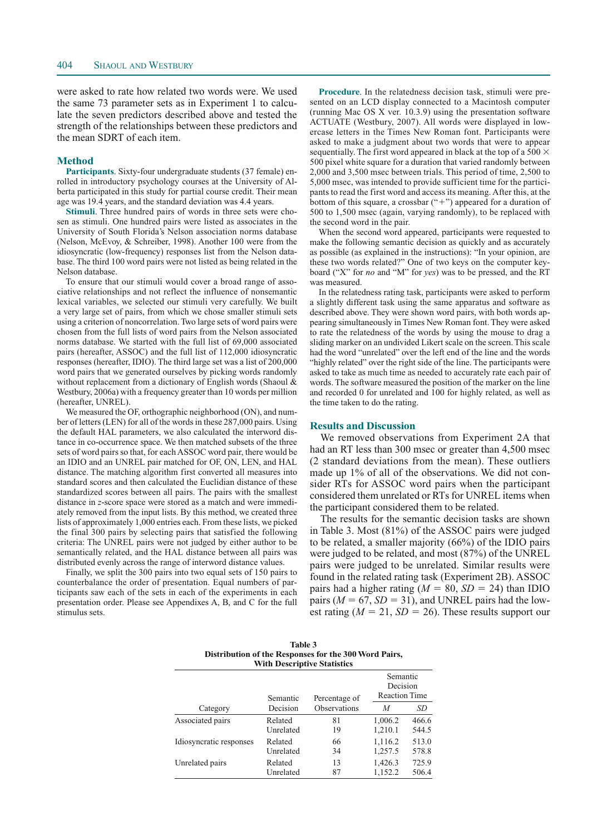were asked to rate how related two words were. We used the same 73 parameter sets as in Experiment 1 to calculate the seven predictors described above and tested the strength of the relationships between these predictors and the mean SDRT of each item.

## **Method**

**Participants**. Sixty-four undergraduate students (37 female) enrolled in introductory psychology courses at the University of Alberta participated in this study for partial course credit. Their mean age was 19.4 years, and the standard deviation was 4.4 years.

**Stimuli**. Three hundred pairs of words in three sets were chosen as stimuli. One hundred pairs were listed as associates in the University of South Florida's Nelson association norms database (Nelson, McEvoy, & Schreiber, 1998). Another 100 were from the idiosyncratic (low-frequency) responses list from the Nelson database. The third 100 word pairs were not listed as being related in the Nelson database.

To ensure that our stimuli would cover a broad range of associative relationships and not reflect the influence of nonsemantic lexical variables, we selected our stimuli very carefully. We built a very large set of pairs, from which we chose smaller stimuli sets using a criterion of noncorrelation. Two large sets of word pairs were chosen from the full lists of word pairs from the Nelson associated norms database. We started with the full list of 69,000 associated pairs (hereafter, ASSOC) and the full list of 112,000 idiosyncratic responses (hereafter, IDIO). The third large set was a list of 200,000 word pairs that we generated ourselves by picking words randomly without replacement from a dictionary of English words (Shaoul & Westbury, 2006a) with a frequency greater than 10 words per million (hereafter, UNREL).

We measured the OF, orthographic neighborhood (ON), and number of letters (LEN) for all of the words in these 287,000 pairs. Using the default HAL parameters, we also calculated the interword distance in co-occurrence space. We then matched subsets of the three sets of word pairs so that, for each ASSOC word pair, there would be an IDIO and an UNREL pair matched for OF, ON, LEN, and HAL distance. The matching algorithm first converted all measures into standard scores and then calculated the Euclidian distance of these standardized scores between all pairs. The pairs with the smallest distance in *z*-score space were stored as a match and were immediately removed from the input lists. By this method, we created three lists of approximately 1,000 entries each. From these lists, we picked the final 300 pairs by selecting pairs that satisfied the following criteria: The UNREL pairs were not judged by either author to be semantically related, and the HAL distance between all pairs was distributed evenly across the range of interword distance values.

Finally, we split the 300 pairs into two equal sets of 150 pairs to counterbalance the order of presentation. Equal numbers of participants saw each of the sets in each of the experiments in each presentation order. Please see Appendixes A, B, and C for the full stimulus sets.

**Procedure**. In the relatedness decision task, stimuli were presented on an LCD display connected to a Macintosh computer (running Mac OS X ver. 10.3.9) using the presentation software ACTUATE (Westbury, 2007). All words were displayed in lowercase letters in the Times New Roman font. Participants were asked to make a judgment about two words that were to appear sequentially. The first word appeared in black at the top of a 500  $\times$ 500 pixel white square for a duration that varied randomly between 2,000 and 3,500 msec between trials. This period of time, 2,500 to 5,000 msec, was intended to provide sufficient time for the participants to read the first word and access its meaning. After this, at the bottom of this square, a crossbar  $("+")$  appeared for a duration of 500 to 1,500 msec (again, varying randomly), to be replaced with the second word in the pair.

When the second word appeared, participants were requested to make the following semantic decision as quickly and as accurately as possible (as explained in the instructions): "In your opinion, are these two words related?" One of two keys on the computer keyboard ("X" for *no* and "M" for *yes*) was to be pressed, and the RT was measured.

In the relatedness rating task, participants were asked to perform a slightly different task using the same apparatus and software as described above. They were shown word pairs, with both words appearing simultaneously in Times New Roman font. They were asked to rate the relatedness of the words by using the mouse to drag a sliding marker on an undivided Likert scale on the screen. This scale had the word "unrelated" over the left end of the line and the words "highly related" over the right side of the line. The participants were asked to take as much time as needed to accurately rate each pair of words. The software measured the position of the marker on the line and recorded 0 for unrelated and 100 for highly related, as well as the time taken to do the rating.

#### **Results and Discussion**

We removed observations from Experiment 2A that had an RT less than 300 msec or greater than 4,500 msec (2 standard deviations from the mean). These outliers made up 1% of all of the observations. We did not consider RTs for ASSOC word pairs when the participant considered them unrelated or RTs for UNREL items when the participant considered them to be related.

The results for the semantic decision tasks are shown in Table 3. Most (81%) of the ASSOC pairs were judged to be related, a smaller majority (66%) of the IDIO pairs were judged to be related, and most (87%) of the UNREL pairs were judged to be unrelated. Similar results were found in the related rating task (Experiment 2B). ASSOC pairs had a higher rating  $(M = 80, SD = 24)$  than IDIO pairs ( $M = 67$ ,  $SD = 31$ ), and UNREL pairs had the lowest rating  $(M = 21, SD = 26)$ . These results support our

**Table 3 Distribution of the Responses for the 300 Word Pairs, With Descriptive Statistics**

|                         | Semantic  | Percentage of | Semantic<br>Decision<br><b>Reaction Time</b> |       |  |
|-------------------------|-----------|---------------|----------------------------------------------|-------|--|
| Category                | Decision  | Observations  | M                                            | SD    |  |
| Associated pairs        | Related   | 81            | 1,006.2                                      | 466.6 |  |
|                         | Unrelated | 19            | 1,210.1                                      | 544.5 |  |
| Idiosyncratic responses | Related   | 66            | 1,116.2                                      | 513.0 |  |
|                         | Unrelated | 34            | 1,257.5                                      | 578.8 |  |
| Unrelated pairs         | Related   | 13            | 1,426.3                                      | 725.9 |  |
|                         | Unrelated | 87            | 1.152.2                                      | 506.4 |  |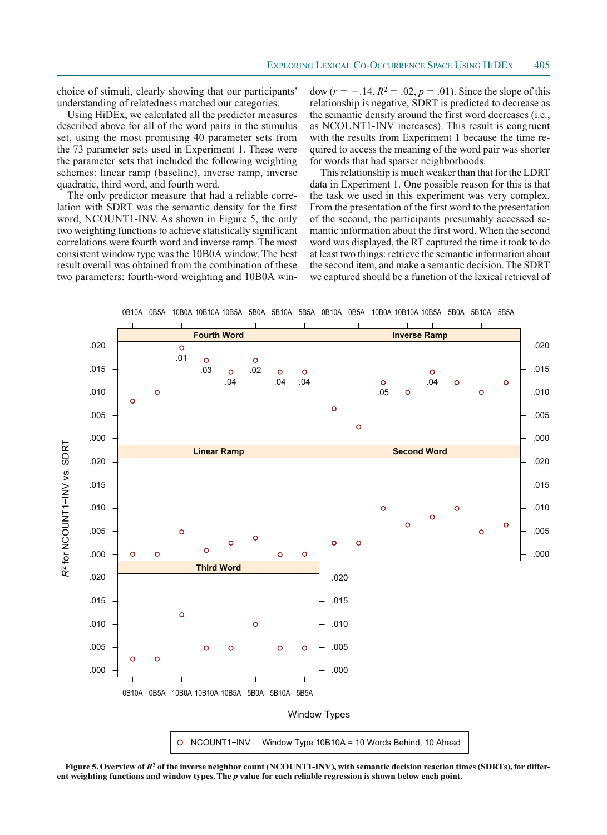choice of stimuli, clearly showing that our participants' understanding of relatedness matched our categories.

Using HiDEx, we calculated all the predictor measures described above for all of the word pairs in the stimulus set, using the most promising 40 parameter sets from the 73 parameter sets used in Experiment 1. These were the parameter sets that included the following weighting schemes: linear ramp (baseline), inverse ramp, inverse quadratic, third word, and fourth word.

The only predictor measure that had a reliable correlation with SDRT was the semantic density for the first word, NCOUNT1-INV. As shown in Figure 5, the only two weighting functions to achieve statistically significant correlations were fourth word and inverse ramp. The most consistent window type was the 10B0A window. The best result overall was obtained from the combination of these two parameters: fourth-word weighting and 10B0A window  $(r = -.14, R^2 = .02, p = .01)$ . Since the slope of this relationship is negative, SDRT is predicted to decrease as the semantic density around the first word decreases (i.e., as NCOUNT1-INV increases). This result is congruent with the results from Experiment 1 because the time required to access the meaning of the word pair was shorter for words that had sparser neighborhoods.

This relationship is much weaker than that for the LDRT data in Experiment 1. One possible reason for this is that the task we used in this experiment was very complex. From the presentation of the first word to the presentation of the second, the participants presumably accessed semantic information about the first word. When the second word was displayed, the RT captured the time it took to do at least two things: retrieve the semantic information about the second item, and make a semantic decision. The SDRT we captured should be a function of the lexical retrieval of



0B10A 0B5A 10B0A 10B10A 10B5A 5B0A 5B10A 5B5A 0B10A 0B5A 10B0A 10B10A 10B5A 5B0A 5B10A 5B5A

**Figure 5. Overview of** *R***2 of the inverse neighbor count (NCOUNT1-INV), with semantic decision reaction times (SDRTs), for different weighting functions and window types. The** *p* **value for each reliable regression is shown below each point.**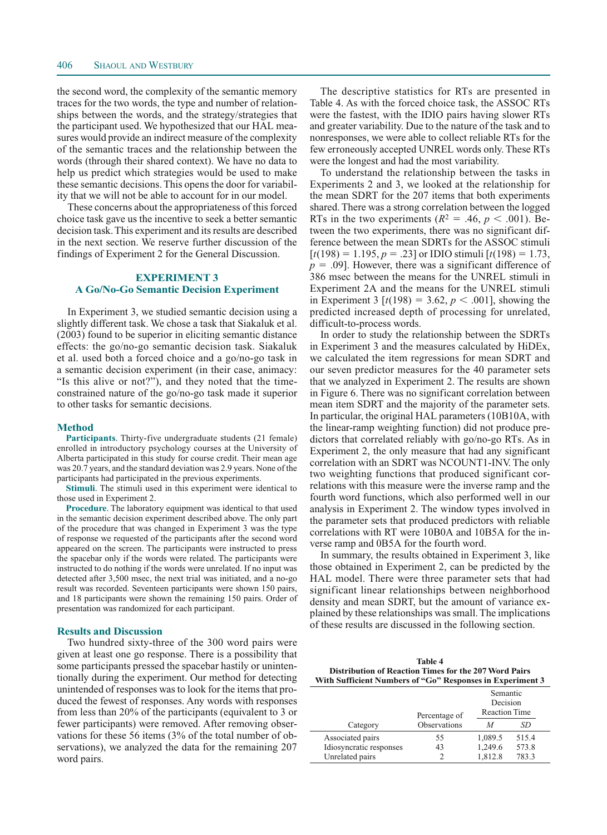the second word, the complexity of the semantic memory traces for the two words, the type and number of relationships between the words, and the strategy/strategies that the participant used. We hypothesized that our HAL measures would provide an indirect measure of the complexity of the semantic traces and the relationship between the words (through their shared context). We have no data to help us predict which strategies would be used to make these semantic decisions. This opens the door for variability that we will not be able to account for in our model.

These concerns about the appropriateness of this forced choice task gave us the incentive to seek a better semantic decision task. This experiment and its results are described in the next section. We reserve further discussion of the findings of Experiment 2 for the General Discussion.

# **EXPERIMENT 3 A Go/No-Go Semantic Decision Experiment**

In Experiment 3, we studied semantic decision using a slightly different task. We chose a task that Siakaluk et al. (2003) found to be superior in eliciting semantic distance effects: the go/no-go semantic decision task. Siakaluk et al. used both a forced choice and a go/no-go task in a semantic decision experiment (in their case, animacy: "Is this alive or not?"), and they noted that the time constrained nature of the go/no-go task made it superior to other tasks for semantic decisions.

## **Method**

**Participants**. Thirty-five undergraduate students (21 female) enrolled in introductory psychology courses at the University of Alberta participated in this study for course credit. Their mean age was 20.7 years, and the standard deviation was 2.9 years. None of the participants had participated in the previous experiments.

**Stimuli**. The stimuli used in this experiment were identical to those used in Experiment 2.

**Procedure**. The laboratory equipment was identical to that used in the semantic decision experiment described above. The only part of the procedure that was changed in Experiment 3 was the type of response we requested of the participants after the second word appeared on the screen. The participants were instructed to press the spacebar only if the words were related. The participants were instructed to do nothing if the words were unrelated. If no input was detected after 3,500 msec, the next trial was initiated, and a no-go result was recorded. Seventeen participants were shown 150 pairs, and 18 participants were shown the remaining 150 pairs. Order of presentation was randomized for each participant.

## **Results and Discussion**

Two hundred sixty-three of the 300 word pairs were given at least one go response. There is a possibility that some participants pressed the spacebar hastily or unintentionally during the experiment. Our method for detecting unintended of responses was to look for the items that produced the fewest of responses. Any words with responses from less than 20% of the participants (equivalent to 3 or fewer participants) were removed. After removing observations for these 56 items (3% of the total number of observations), we analyzed the data for the remaining 207 word pairs.

The descriptive statistics for RTs are presented in Table 4. As with the forced choice task, the ASSOC RTs were the fastest, with the IDIO pairs having slower RTs and greater variability. Due to the nature of the task and to nonresponses, we were able to collect reliable RTs for the few erroneously accepted UNREL words only. These RTs were the longest and had the most variability.

To understand the relationship between the tasks in Experiments 2 and 3, we looked at the relationship for the mean SDRT for the 207 items that both experiments shared. There was a strong correlation between the logged RTs in the two experiments ( $R^2 = .46$ ,  $p < .001$ ). Between the two experiments, there was no significant difference between the mean SDRTs for the ASSOC stimuli  $[t(198) = 1.195, p = .23]$  or IDIO stimuli  $[t(198) = 1.73,$  $p = .09$ ]. However, there was a significant difference of 386 msec between the means for the UNREL stimuli in Experiment 2A and the means for the UNREL stimuli in Experiment 3  $[t(198) = 3.62, p < .001]$ , showing the predicted increased depth of processing for unrelated, difficult-to-process words.

In order to study the relationship between the SDRTs in Experiment 3 and the measures calculated by HiDEx, we calculated the item regressions for mean SDRT and our seven predictor measures for the 40 parameter sets that we analyzed in Experiment 2. The results are shown in Figure 6. There was no significant correlation between mean item SDRT and the majority of the parameter sets. In particular, the original HAL parameters (10B10A, with the linear-ramp weighting function) did not produce predictors that correlated reliably with go/no-go RTs. As in Experiment 2, the only measure that had any significant correlation with an SDRT was NCOUNT1-INV. The only two weighting functions that produced significant correlations with this measure were the inverse ramp and the fourth word functions, which also performed well in our analysis in Experiment 2. The window types involved in the parameter sets that produced predictors with reliable correlations with RT were 10B0A and 10B5A for the inverse ramp and 0B5A for the fourth word.

In summary, the results obtained in Experiment 3, like those obtained in Experiment 2, can be predicted by the HAL model. There were three parameter sets that had significant linear relationships between neighborhood density and mean SDRT, but the amount of variance explained by these relationships was small. The implications of these results are discussed in the following section.

| <b>Table 4</b><br><b>Distribution of Reaction Times for the 207 Word Pairs</b><br>With Sufficient Numbers of "Go" Responses in Experiment 3 |                      |                      |       |  |  |  |  |
|---------------------------------------------------------------------------------------------------------------------------------------------|----------------------|----------------------|-------|--|--|--|--|
|                                                                                                                                             | Semantic<br>Decision |                      |       |  |  |  |  |
|                                                                                                                                             | Percentage of        | <b>Reaction Time</b> |       |  |  |  |  |
| Category                                                                                                                                    | Observations         | M                    | SD    |  |  |  |  |
| Associated pairs                                                                                                                            | 55                   | 1,089.5              | 515.4 |  |  |  |  |
| Idiosyncratic responses                                                                                                                     | 43                   | 1,249.6              | 573.8 |  |  |  |  |
| Unrelated pairs                                                                                                                             |                      | 1.812.8              | 783.3 |  |  |  |  |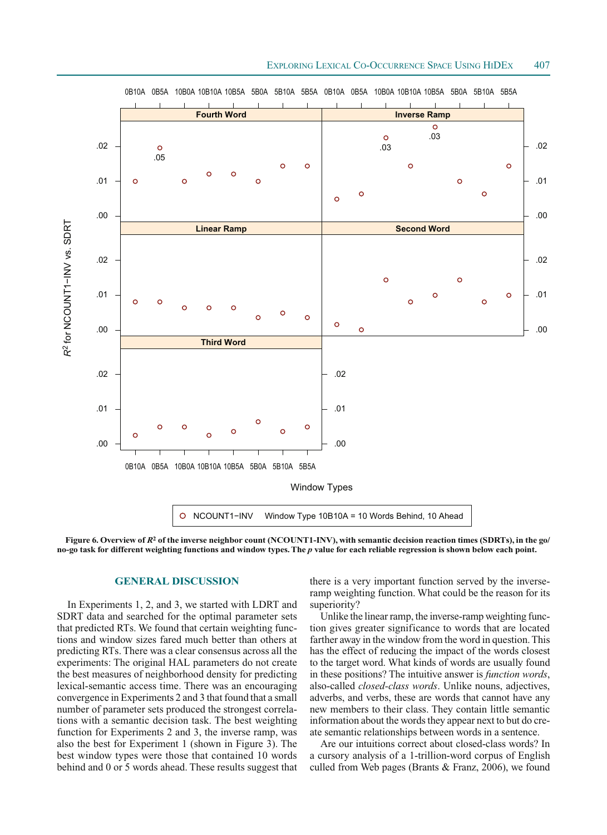

**Figure 6. Overview of** *R***2 of the inverse neighbor count (NCOUNT1-INV), with semantic decision reaction times (SDRTs), in the go/** no-go task for different weighting functions and window types. The *p* value for each reliable regression is shown below each point.

## **GENERAL DISCUSSION**

In Experiments 1, 2, and 3, we started with LDRT and SDRT data and searched for the optimal parameter sets that predicted RTs. We found that certain weighting functions and window sizes fared much better than others at predicting RTs. There was a clear consensus across all the experiments: The original HAL parameters do not create the best measures of neighborhood density for predicting lexical-semantic access time. There was an encouraging convergence in Experiments 2 and 3 that found that a small number of parameter sets produced the strongest correlations with a semantic decision task. The best weighting function for Experiments 2 and 3, the inverse ramp, was also the best for Experiment 1 (shown in Figure 3). The best window types were those that contained 10 words behind and 0 or 5 words ahead. These results suggest that

there is a very important function served by the inverseramp weighting function. What could be the reason for its superiority?

Unlike the linear ramp, the inverse-ramp weighting function gives greater significance to words that are located farther away in the window from the word in question. This has the effect of reducing the impact of the words closest to the target word. What kinds of words are usually found in these positions? The intuitive answer is *function words*, also-called *closed-class words*. Unlike nouns, adjectives, adverbs, and verbs, these are words that cannot have any new members to their class. They contain little semantic information about the words they appear next to but do create semantic relationships between words in a sentence.

Are our intuitions correct about closed-class words? In a cursory analysis of a 1-trillion-word corpus of English culled from Web pages (Brants & Franz, 2006), we found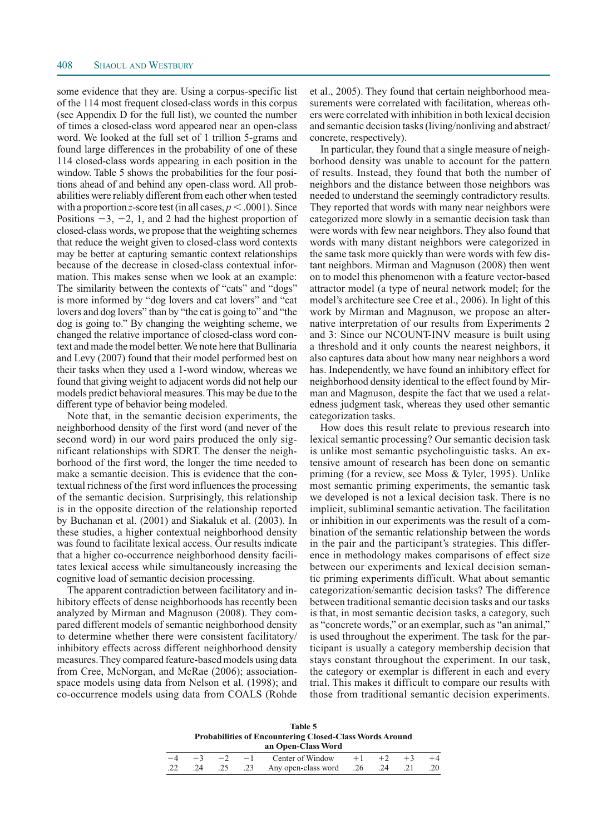some evidence that they are. Using a corpus-specific list of the 114 most frequent closed-class words in this corpus (see Appendix D for the full list), we counted the number of times a closed-class word appeared near an open-class word. We looked at the full set of 1 trillion 5-grams and found large differences in the probability of one of these 114 closed-class words appearing in each position in the window. Table 5 shows the probabilities for the four positions ahead of and behind any open-class word. All probabilities were reliably different from each other when tested with a proportion *z*-score test (in all cases,  $p < .0001$ ). Since Positions  $-3$ ,  $-2$ , 1, and 2 had the highest proportion of closed-class words, we propose that the weighting schemes that reduce the weight given to closed-class word contexts may be better at capturing semantic context relationships because of the decrease in closed-class contextual information. This makes sense when we look at an example: The similarity between the contexts of "cats" and "dogs" is more informed by "dog lovers and cat lovers" and "cat lovers and dog lovers" than by "the cat is going to" and "the dog is going to." By changing the weighting scheme, we changed the relative importance of closed-class word context and made the model better. We note here that Bullinaria and Levy (2007) found that their model performed best on their tasks when they used a 1-word window, whereas we found that giving weight to adjacent words did not help our models predict behavioral measures. This may be due to the different type of behavior being modeled.

Note that, in the semantic decision experiments, the neighborhood density of the first word (and never of the second word) in our word pairs produced the only significant relationships with SDRT. The denser the neighborhood of the first word, the longer the time needed to make a semantic decision. This is evidence that the contextual richness of the first word influences the processing of the semantic decision. Surprisingly, this relationship is in the opposite direction of the relationship reported by Buchanan et al. (2001) and Siakaluk et al. (2003). In these studies, a higher contextual neighborhood density was found to facilitate lexical access. Our results indicate that a higher co-occurrence neighborhood density facilitates lexical access while simultaneously increasing the cognitive load of semantic decision processing.

The apparent contradiction between facilitatory and inhibitory effects of dense neighborhoods has recently been analyzed by Mirman and Magnuson (2008). They compared different models of semantic neighborhood density to determine whether there were consistent facilitatory/ inhibitory effects across different neighborhood density measures. They compared feature-based models using data from Cree, McNorgan, and McRae (2006); associationspace models using data from Nelson et al. (1998); and co-occurrence models using data from COALS (Rohde

et al., 2005). They found that certain neighborhood measurements were correlated with facilitation, whereas others were correlated with inhibition in both lexical decision and semantic decision tasks (living/nonliving and abstract/ concrete, respectively).

In particular, they found that a single measure of neighborhood density was unable to account for the pattern of results. Instead, they found that both the number of neighbors and the distance between those neighbors was needed to understand the seemingly contradictory results. They reported that words with many near neighbors were categorized more slowly in a semantic decision task than were words with few near neighbors. They also found that words with many distant neighbors were categorized in the same task more quickly than were words with few distant neighbors. Mirman and Magnuson (2008) then went on to model this phenomenon with a feature vector-based attractor model (a type of neural network model; for the model's architecture see Cree et al., 2006). In light of this work by Mirman and Magnuson, we propose an alternative interpretation of our results from Experiments 2 and 3: Since our NCOUNT-INV measure is built using a threshold and it only counts the nearest neighbors, it also captures data about how many near neighbors a word has. Independently, we have found an inhibitory effect for neighborhood density identical to the effect found by Mirman and Magnuson, despite the fact that we used a relatedness judgment task, whereas they used other semantic categorization tasks.

How does this result relate to previous research into lexical semantic processing? Our semantic decision task is unlike most semantic psycholinguistic tasks. An extensive amount of research has been done on semantic priming (for a review, see Moss & Tyler, 1995). Unlike most semantic priming experiments, the semantic task we developed is not a lexical decision task. There is no implicit, subliminal semantic activation. The facilitation or inhibition in our experiments was the result of a combination of the semantic relationship between the words in the pair and the participant's strategies. This difference in methodology makes comparisons of effect size between our experiments and lexical decision semantic priming experiments difficult. What about semantic categorization/ semantic decision tasks? The difference between traditional semantic decision tasks and our tasks is that, in most semantic decision tasks, a category, such as "concrete words," or an exemplar, such as "an animal," is used throughout the experiment. The task for the participant is usually a category membership decision that stays constant throughout the experiment. In our task, the category or exemplar is different in each and every trial. This makes it difficult to compare our results with those from traditional semantic decision experiments.

**Table 5 Probabilities of Encountering Closed-Class Words Around an Open-Class Word**

|  |  | $\mathbf{m}$ $\mathbf{v}$ $\mathbf{p}$ $\mathbf{v}$ $\mathbf{n}$ $\mathbf{v}$ $\mathbf{v}$ $\mathbf{v}$ $\mathbf{v}$ $\mathbf{v}$ |  |  |
|--|--|-----------------------------------------------------------------------------------------------------------------------------------|--|--|
|  |  | $-4$ $-3$ $-2$ $-1$ Center of Window $+1$ $+2$ $+3$ $+4$                                                                          |  |  |
|  |  | .20 .24 .25 .23 Any open-class word .26 .24 .25 .23                                                                               |  |  |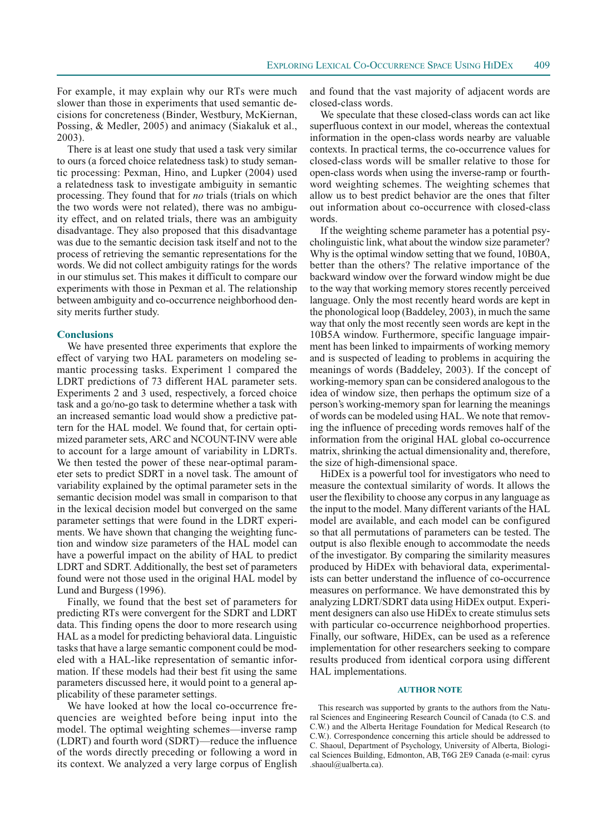For example, it may explain why our RTs were much slower than those in experiments that used semantic decisions for concreteness (Binder, Westbury, McKiernan, Possing, & Medler, 2005) and animacy (Siakaluk et al., 2003).

There is at least one study that used a task very similar to ours (a forced choice relatedness task) to study semantic processing: Pexman, Hino, and Lupker (2004) used a relatedness task to investigate ambiguity in semantic processing. They found that for *no* trials (trials on which the two words were not related), there was no ambiguity effect, and on related trials, there was an ambiguity disadvantage. They also proposed that this disadvantage was due to the semantic decision task itself and not to the process of retrieving the semantic representations for the words. We did not collect ambiguity ratings for the words in our stimulus set. This makes it difficult to compare our experiments with those in Pexman et al. The relationship between ambiguity and co-occurrence neighborhood density merits further study.

#### **Conclusions**

We have presented three experiments that explore the effect of varying two HAL parameters on modeling semantic processing tasks. Experiment 1 compared the LDRT predictions of 73 different HAL parameter sets. Experiments 2 and 3 used, respectively, a forced choice task and a go/no-go task to determine whether a task with an increased semantic load would show a predictive pattern for the HAL model. We found that, for certain optimized parameter sets, ARC and NCOUNT-INV were able to account for a large amount of variability in LDRTs. We then tested the power of these near-optimal parameter sets to predict SDRT in a novel task. The amount of variability explained by the optimal parameter sets in the semantic decision model was small in comparison to that in the lexical decision model but converged on the same parameter settings that were found in the LDRT experiments. We have shown that changing the weighting function and window size parameters of the HAL model can have a powerful impact on the ability of HAL to predict LDRT and SDRT. Additionally, the best set of parameters found were not those used in the original HAL model by Lund and Burgess (1996).

Finally, we found that the best set of parameters for predicting RTs were convergent for the SDRT and LDRT data. This finding opens the door to more research using HAL as a model for predicting behavioral data. Linguistic tasks that have a large semantic component could be modeled with a HAL-like representation of semantic information. If these models had their best fit using the same parameters discussed here, it would point to a general applicability of these parameter settings.

We have looked at how the local co-occurrence frequencies are weighted before being input into the model. The optimal weighting schemes—inverse ramp (LDRT) and fourth word (SDRT)—reduce the influence of the words directly preceding or following a word in its context. We analyzed a very large corpus of English and found that the vast majority of adjacent words are closed-class words.

We speculate that these closed-class words can act like superfluous context in our model, whereas the contextual information in the open-class words nearby are valuable contexts. In practical terms, the co-occurrence values for closed-class words will be smaller relative to those for open-class words when using the inverse-ramp or fourthword weighting schemes. The weighting schemes that allow us to best predict behavior are the ones that filter out information about co-occurrence with closed-class words.

If the weighting scheme parameter has a potential psycholinguistic link, what about the window size parameter? Why is the optimal window setting that we found, 10B0A, better than the others? The relative importance of the backward window over the forward window might be due to the way that working memory stores recently perceived language. Only the most recently heard words are kept in the phonological loop (Baddeley, 2003), in much the same way that only the most recently seen words are kept in the 10B5A window. Furthermore, specific language impairment has been linked to impairments of working memory and is suspected of leading to problems in acquiring the meanings of words (Baddeley, 2003). If the concept of working-memory span can be considered analogous to the idea of window size, then perhaps the optimum size of a person's working-memory span for learning the meanings of words can be modeled using HAL. We note that removing the influence of preceding words removes half of the information from the original HAL global co-occurrence matrix, shrinking the actual dimensionality and, therefore, the size of high-dimensional space.

HiDEx is a powerful tool for investigators who need to measure the contextual similarity of words. It allows the user the flexibility to choose any corpus in any language as the input to the model. Many different variants of the HAL model are available, and each model can be configured so that all permutations of parameters can be tested. The output is also flexible enough to accommodate the needs of the investigator. By comparing the similarity measures produced by HiDEx with behavioral data, experimentalists can better understand the influence of co-occurrence measures on performance. We have demonstrated this by analyzing LDRT/SDRT data using HiDEx output. Experiment designers can also use HiDEx to create stimulus sets with particular co-occurrence neighborhood properties. Finally, our software, HiDEx, can be used as a reference implementation for other researchers seeking to compare results produced from identical corpora using different HAL implementations.

### **AUTHOR NOTE**

This research was supported by grants to the authors from the Natural Sciences and Engineering Research Council of Canada (to C.S. and C.W.) and the Alberta Heritage Foundation for Medical Research (to C.W.). Correspondence concerning this article should be addressed to C. Shaoul, Department of Psychology, University of Alberta, Biological Sciences Building, Edmonton, AB, T6G 2E9 Canada (e-mail: cyrus .shaoul@ualberta.ca).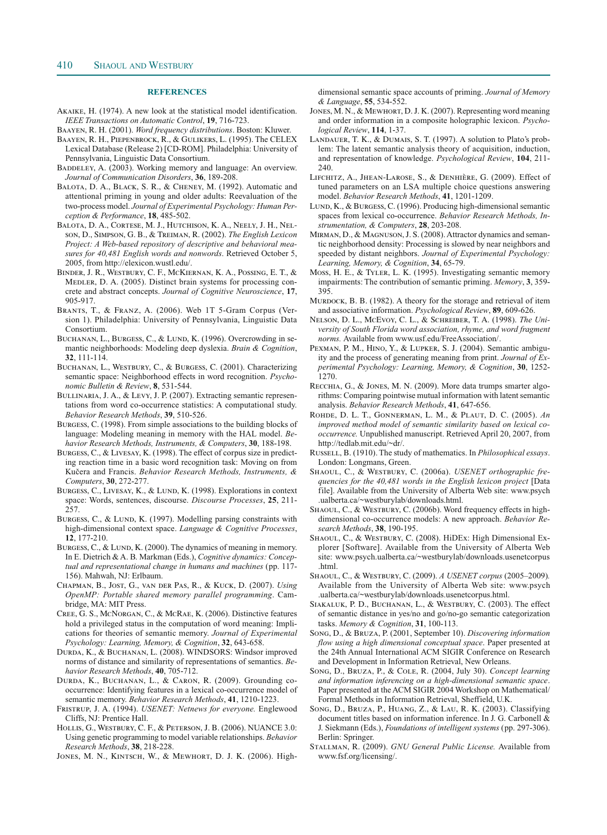### **REFERENCES**

- Akaike, H. (1974). A new look at the statistical model identification. *IEEE Transactions on Automatic Control*, **19**, 716-723.
- Baayen, R. H. (2001). *Word frequency distributions*. Boston: Kluwer. Baayen, R. H., Piepenbrock, R., & Gulikers, L. (1995). The CELEX
- Lexical Database (Release 2) [CD-ROM]. Philadelphia: University of Pennsylvania, Linguistic Data Consortium.
- BADDELEY, A. (2003). Working memory and language: An overview. *Journal of Communication Disorders*, **36**, 189-208.
- Balota, D. A., Black, S. R., & Cheney, M. (1992). Automatic and attentional priming in young and older adults: Reevaluation of the two-process model. *Journal of Experimental Psychology: Human Perception & Performance*, **18**, 485-502.
- Balota, D. A., Cortese, M. J., Hutchison, K. A., Neely, J. H., Nelson, D., Simpson, G. B., & Treiman, R. (2002). *The English Lexicon Project: A Web-based repository of descriptive and behavioral measures for 40,481 English words and nonwords*. Retrieved October 5, 2005, from http://elexicon.wustl.edu/.
- Binder, J. R., Westbury, C. F., McKiernan, K. A., Possing, E. T., & MEDLER, D. A. (2005). Distinct brain systems for processing concrete and abstract concepts. *Journal of Cognitive Neuroscience*, **17**, 905-917.
- Brants, T., & Franz, A. (2006). Web 1T 5-Gram Corpus (Version 1). Philadelphia: University of Pennsylvania, Linguistic Data Consortium.
- BUCHANAN, L., BURGESS, C., & LUND, K. (1996). Overcrowding in semantic neighborhoods: Modeling deep dyslexia. *Brain & Cognition*, **32**, 111-114.
- BUCHANAN, L., WESTBURY, C., & BURGESS, C. (2001). Characterizing semantic space: Neighborhood effects in word recognition. *Psychonomic Bulletin & Review*, **8**, 531-544.
- BULLINARIA, J. A., & LEVY, J. P. (2007). Extracting semantic representations from word co-occurrence statistics: A computational study. *Behavior Research Methods*, **39**, 510-526.
- Burgess, C. (1998). From simple associations to the building blocks of language: Modeling meaning in memory with the HAL model. *Behavior Research Methods, Instruments, & Computers*, **30**, 188-198.
- Burgess, C., & Livesay, K. (1998). The effect of corpus size in predicting reaction time in a basic word recognition task: Moving on from Kučera and Francis. *Behavior Research Methods, Instruments, & Computers*, **30**, 272-277.
- Burgess, C., Livesay, K., & Lund, K. (1998). Explorations in context space: Words, sentences, discourse. *Discourse Processes*, **25**, 211- 257.
- BURGESS, C., & LUND, K. (1997). Modelling parsing constraints with high-dimensional context space. *Language & Cognitive Processes*, **12**, 177-210.
- BURGESS, C., & LUND, K. (2000). The dynamics of meaning in memory. In E. Dietrich & A. B. Markman (Eds.), *Cognitive dynamics: Conceptual and representational change in humans and machines* (pp. 117- 156). Mahwah, NJ: Erlbaum.
- Chapman, B., Jost, G., van der Pas, R., & Kuck, D. (2007). *Using OpenMP: Portable shared memory parallel programming*. Cambridge, MA: MIT Press.
- Cree, G. S., McNorgan, C., & McRae, K. (2006). Distinctive features hold a privileged status in the computation of word meaning: Implications for theories of semantic memory. *Journal of Experimental Psychology: Learning, Memory, & Cognition*, **32**, 643-658.
- Durda, K., & Buchanan, L. (2008). WINDSORS: Windsor improved norms of distance and similarity of representations of semantics. *Behavior Research Methods*, **40**, 705-712.
- Durda, K., Buchanan, L., & Caron, R. (2009). Grounding co occurrence: Identifying features in a lexical co-occurrence model of semantic memory. *Behavior Research Methods*, **41**, 1210-1223.
- Fristrup, J. A. (1994). *USENET: Netnews for everyone.* Englewood Cliffs, NJ: Prentice Hall.
- Hollis, G., Westbury, C. F., & Peterson, J. B. (2006). NUANCE 3.0: Using genetic programming to model variable relationships. *Behavior Research Methods*, **38**, 218-228.
- Jones, M. N., Kintsch, W., & Mewhort, D. J. K. (2006). High-

 dimensional semantic space accounts of priming. *Journal of Memory & Language*, **55**, 534-552.

- Jones, M. N., & Mewhort, D. J. K. (2007). Representing word meaning and order information in a composite holographic lexicon. *Psychological Review*, **114**, 1-37.
- LANDAUER, T. K., & DUMAIS, S. T. (1997). A solution to Plato's problem: The latent semantic analysis theory of acquisition, induction, and representation of knowledge. *Psychological Review*, **104**, 211- 240.
- Lifchitz, A., Jhean-Larose, S., & Denhière, G. (2009). Effect of tuned parameters on an LSA multiple choice questions answering model. *Behavior Research Methods*, **41**, 1201-1209.
- LUND, K., & BURGESS, C. (1996). Producing high-dimensional semantic spaces from lexical co-occurrence. *Behavior Research Methods, Instrumentation, & Computers*, **28**, 203-208.
- Mirman, D., & Magnuson, J. S. (2008). Attractor dynamics and semantic neighborhood density: Processing is slowed by near neighbors and speeded by distant neighbors. *Journal of Experimental Psychology: Learning, Memory, & Cognition*, **34**, 65-79.
- Moss, H. E., & Tyler, L. K. (1995). Investigating semantic memory impairments: The contribution of semantic priming. *Memory*, **3**, 359- 395.
- MURDOCK, B. B. (1982). A theory for the storage and retrieval of item and associative information. *Psychological Review*, **89**, 609-626.
- Nelson, D. L., McEvoy, C. L., & Schreiber, T. A. (1998). *The University of South Florida word association, rhyme, and word fragment norms.* Available from www.usf.edu/FreeAssociation/.
- Pexman, P. M., Hino, Y., & Lupker, S. J. (2004). Semantic ambiguity and the process of generating meaning from print. *Journal of Experimental Psychology: Learning, Memory, & Cognition*, **30**, 1252- 1270.
- Recchia, G., & Jones, M. N. (2009). More data trumps smarter algorithms: Comparing pointwise mutual information with latent semantic analysis. *Behavior Research Methods*, **41**, 647-656.
- Rohde, D. L. T., Gonnerman, L. M., & Plaut, D. C. (2005). *An improved method model of semantic similarity based on lexical co occurrence.* Unpublished manuscript. Retrieved April 20, 2007, from http://tedlab.mit.edu/~dr/.
- Russell, B. (1910). The study of mathematics. In *Philosophical essays*. London: Longmans, Green.
- SHAOUL, C., & WESTBURY, C. (2006a). *USENET orthographic frequencies for the 40,481 words in the English lexicon project* [Data file]. Available from the University of Alberta Web site: www.psych .ualberta.ca/~westburylab/downloads.html.
- SHAOUL, C., & WESTBURY, C. (2006b). Word frequency effects in highdimensional co-occurrence models: A new approach. *Behavior Research Methods*, **38**, 190-195.
- SHAOUL, C., & WESTBURY, C. (2008). HiDEx: High Dimensional Explorer [Software]. Available from the University of Alberta Web site: www.psych.ualberta.ca/~westburylab/downloads.usenetcorpus .html.
- Shaoul, C., & Westbury, C. (2009). *A USENET corpus* (2005–2009)*.*  Available from the University of Alberta Web site: www.psych .ualberta.ca/~westburylab/downloads.usenetcorpus.html.
- Siakaluk, P. D., Buchanan, L., & Westbury, C. (2003). The effect of semantic distance in yes/no and go/no-go semantic categorization tasks. *Memory & Cognition*, **31**, 100-113.
- Song, D., & Bruza, P. (2001, September 10). *Discovering information flow using a high dimensional conceptual space*. Paper presented at the 24th Annual International ACM SIGIR Conference on Research and Development in Information Retrieval, New Orleans.
- Song, D., Bruza, P., & Cole, R. (2004, July 30). *Concept learning and information inferencing on a high-dimensional semantic space*. Paper presented at the ACM SIGIR 2004 Workshop on Mathematical/ Formal Methods in Information Retrieval, Sheffield, U.K.
- Song, D., Bruza, P., Huang, Z., & Lau, R. K. (2003). Classifying document titles based on information inference. In J. G. Carbonell & J. Siekmann (Eds.), *Foundations of intelligent systems* (pp. 297-306). Berlin: Springer.
- Stallman, R. (2009). *GNU General Public License.* Available from www.fsf.org/licensing/.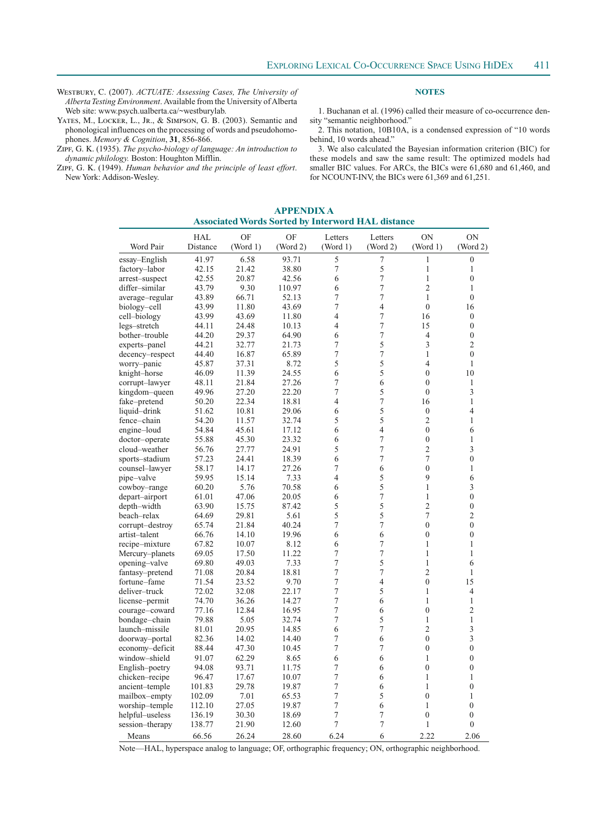- WESTBURY, C. (2007). *ACTUATE: Assessing Cases, The University of Alberta Testing Environment*. Available from the University of Alberta Web site: www.psych.ualberta.ca/~westburylab.
- YATES, M., LOCKER, L., JR., & SIMPSON, G. B. (2003). Semantic and phonological influences on the processing of words and pseudohomophones. *Memory & Cognition*, **31**, 856-866.
- Zipf, G. K. (1935). *The psycho-biology of language: An introduction to dynamic philology.* Boston: Houghton Mifflin.
- Zipf, G. K. (1949). *Human behavior and the principle of least effort*. New York: Addison-Wesley.

## **NOTES**

1. Buchanan et al. (1996) called their measure of co-occurrence density "semantic neighborhood."

2. This notation, 10B10A, is a condensed expression of "10 words behind, 10 words ahead."

3. We also calculated the Bayesian information criterion (BIC) for these models and saw the same result: The optimized models had smaller BIC values. For ARCs, the BICs were 61,680 and 61,460, and for NCOUNT-INV, the BICs were 61,369 and 61,251.

| <b>Associated Words Sorted by Interword HAL distance</b> |                        |                |                |                     |                          |                       |                       |  |
|----------------------------------------------------------|------------------------|----------------|----------------|---------------------|--------------------------|-----------------------|-----------------------|--|
| Word Pair                                                | <b>HAL</b><br>Distance | OF<br>(Word 1) | OF<br>(Word 2) | Letters<br>(Word 1) | Letters<br>(Word 2)      | <b>ON</b><br>(Word 1) | <b>ON</b><br>(Word 2) |  |
| essay-English                                            | 41.97                  | 6.58           | 93.71          | 5                   | 7                        | $\mathbf{1}$          | $\overline{0}$        |  |
| factory-labor                                            | 42.15                  | 21.42          | 38.80          | 7                   | 5                        | 1                     | 1                     |  |
| arrest-suspect                                           | 42.55                  | 20.87          | 42.56          | 6                   | $\overline{7}$           | $\mathbf{1}$          | $\boldsymbol{0}$      |  |
| differ-similar                                           | 43.79                  | 9.30           | 110.97         | 6                   | $\overline{7}$           | $\overline{2}$        | 1                     |  |
| average-regular                                          | 43.89                  | 66.71          | 52.13          | 7                   | 7                        | $\mathbf{1}$          | $\boldsymbol{0}$      |  |
| biology–cell                                             | 43.99                  | 11.80          | 43.69          | $\overline{7}$      | $\overline{4}$           | $\overline{0}$        | 16                    |  |
| cell-biology                                             | 43.99                  | 43.69          | 11.80          | $\overline{4}$      | 7                        | 16                    | $\boldsymbol{0}$      |  |
| legs-stretch                                             | 44.11                  | 24.48          | 10.13          | $\overline{4}$      | 7                        | 15                    | $\mathbf{0}$          |  |
| bother–trouble                                           | 44.20                  | 29.37          | 64.90          | 6                   | 7                        | $\overline{4}$        | $\mathbf{0}$          |  |
| experts-panel                                            | 44.21                  | 32.77          | 21.73          | 7                   | 5                        | 3                     | 2                     |  |
| decency-respect                                          | 44.40                  | 16.87          | 65.89          | $\overline{7}$      | $\overline{7}$           | $\mathbf{1}$          | $\overline{0}$        |  |
| worry-panic                                              | 45.87                  | 37.31          | 8.72           | 5                   | 5                        | $\overline{4}$        | 1                     |  |
| knight-horse                                             | 46.09                  | 11.39          | 24.55          | 6                   | 5                        | $\mathbf{0}$          | 10                    |  |
| corrupt-lawyer                                           | 48.11                  | 21.84          | 27.26          | $\boldsymbol{7}$    | 6                        | $\mathbf{0}$          | 1                     |  |
| kingdom-queen                                            | 49.96                  | 27.20          | 22.20          | 7                   | 5                        | $\boldsymbol{0}$      | 3                     |  |
| fake–pretend                                             | 50.20                  | 22.34          | 18.81          | $\overline{4}$      | 7                        | 16                    | 1                     |  |
| liquid-drink                                             | 51.62                  | 10.81          | 29.06          | 6                   | 5                        | $\boldsymbol{0}$      | $\overline{4}$        |  |
| fence-chain                                              | 54.20                  | 11.57          | 32.74          | 5                   | 5                        | $\overline{c}$        | $\mathbf{1}$          |  |
| engine-loud                                              | 54.84                  | 45.61          | 17.12          | 6                   | $\overline{4}$           | $\boldsymbol{0}$      | 6                     |  |
| doctor-operate                                           | 55.88                  | 45.30          | 23.32          | 6                   | $\overline{\mathcal{I}}$ | $\boldsymbol{0}$      | 1                     |  |
| cloud-weather                                            | 56.76                  | 27.77          | 24.91          | 5                   | 7                        | $\overline{2}$        | 3                     |  |
| sports-stadium                                           | 57.23                  | 24.41          | 18.39          | 6                   | $\overline{7}$           | $\overline{7}$        | $\overline{0}$        |  |
| counsel–lawyer                                           | 58.17                  | 14.17          | 27.26          | 7                   | 6                        | $\mathbf{0}$          | 1                     |  |
| pipe-valve                                               | 59.95                  | 15.14          | 7.33           | $\overline{4}$      | 5                        | 9                     | 6                     |  |
| cowboy-range                                             | 60.20                  | 5.76           | 70.58          | 6                   | 5                        | 1                     | 3                     |  |
| depart-airport                                           | 61.01                  | 47.06          | 20.05          | 6                   | 7                        | $\mathbf{1}$          | $\boldsymbol{0}$      |  |
| depth-width                                              | 63.90                  | 15.75          | 87.42          | 5                   | 5                        | $\overline{c}$        | $\overline{0}$        |  |
| beach–relax                                              | 64.69                  | 29.81          | 5.61           | 5                   | 5                        | 7                     | $\overline{2}$        |  |
| corrupt-destroy                                          | 65.74                  | 21.84          | 40.24          | $\overline{7}$      | 7                        | $\overline{0}$        | $\mathbf{0}$          |  |
| artist-talent                                            | 66.76                  | 14.10          | 19.96          | 6                   | 6                        | $\mathbf{0}$          | $\mathbf{0}$          |  |
| recipe-mixture                                           | 67.82                  | 10.07          | 8.12           | 6                   | $\overline{7}$           | $\mathbf{1}$          | 1                     |  |
| Mercury–planets                                          | 69.05                  | 17.50          | 11.22          | $\overline{7}$      | $\overline{7}$           | $\mathbf{1}$          | 1                     |  |
| opening-valve                                            | 69.80                  | 49.03          | 7.33           | $\overline{7}$      | 5                        | 1                     | 6                     |  |
| fantasy-pretend                                          | 71.08                  | 20.84          | 18.81          | $\overline{7}$      | $\overline{7}$           | $\overline{2}$        | $\mathbf{1}$          |  |
| fortune-fame                                             | 71.54                  | 23.52          | 9.70           | $\overline{7}$      | $\overline{\mathcal{L}}$ | $\overline{0}$        | 15                    |  |
| deliver-truck                                            | 72.02                  | 32.08          | 22.17          | $\overline{7}$      | 5                        | 1                     | $\overline{4}$        |  |
| license-permit                                           | 74.70                  | 36.26          | 14.27          | $\overline{7}$      | 6                        | $\mathbf{1}$          | $\mathbf{1}$          |  |
| courage-coward                                           | 77.16                  | 12.84          | 16.95          | $\overline{7}$      | 6                        | $\overline{0}$        | $\overline{c}$        |  |
| bondage-chain                                            | 79.88                  | 5.05           | 32.74          | $\overline{7}$      | 5                        | $\mathbf{1}$          | $\mathbf{1}$          |  |
| launch-missile                                           | 81.01                  | 20.95          | 14.85          | 6                   | $\overline{7}$           | $\overline{c}$        | 3                     |  |
| doorway–portal                                           | 82.36                  | 14.02          | 14.40          | $\overline{7}$      | 6                        | $\mathbf{0}$          | 3                     |  |
| economy-deficit                                          | 88.44                  | 47.30          | 10.45          | $\overline{7}$      | 7                        | $\overline{0}$        | $\overline{0}$        |  |
| window-shield                                            | 91.07                  | 62.29          | 8.65           | 6                   | 6                        | 1                     | $\boldsymbol{0}$      |  |
| English-poetry                                           | 94.08                  | 93.71          | 11.75          | 7                   | 6                        | $\overline{0}$        | $\mathbf{0}$          |  |
| chicken-recipe                                           | 96.47                  | 17.67          | 10.07          | $\overline{7}$      | 6                        | 1                     | $\mathbf{1}$          |  |
| ancient-temple                                           | 101.83                 | 29.78          | 19.87          | $\overline{7}$      | 6                        | $\mathbf{1}$          | $\overline{0}$        |  |
| mailbox-empty                                            | 102.09                 | 7.01           | 65.53          | $\tau$              | 5                        | $\theta$              | 1                     |  |
| worship-temple                                           | 112.10                 | 27.05          | 19.87          | $\overline{7}$      | 6                        | $\mathbf{1}$          | $\overline{0}$        |  |
| helpful–useless                                          | 136.19                 | 30.30          | 18.69          | 7                   | 7                        | $\mathbf{0}$          | $\mathbf{0}$          |  |
| session-therapy                                          | 138.77                 | 21.90          | 12.60          | $\overline{7}$      | 7                        | $\mathbf{1}$          | $\mathbf{0}$          |  |
| Means                                                    | 66.56                  | 26.24          | 28.60          | 6.24                | 6                        | 2.22                  | 2.06                  |  |

**APPENDIX A** 

Note—HAL, hyperspace analog to language; OF, orthographic frequency; ON, orthographic neighborhood.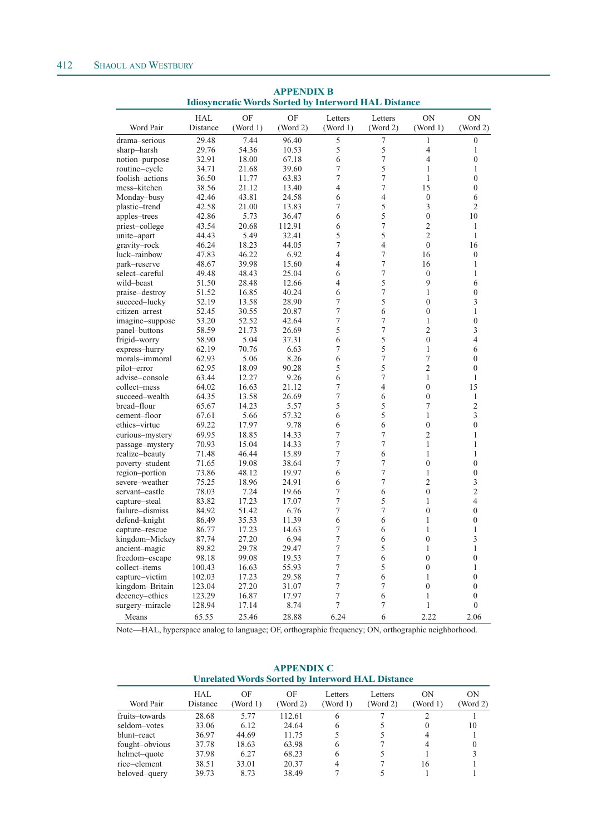| <b>Idiosyncratic Words Sorted by Interword HAL Distance</b> |            |          |          |                |                |                  |                  |  |  |  |
|-------------------------------------------------------------|------------|----------|----------|----------------|----------------|------------------|------------------|--|--|--|
|                                                             | <b>HAL</b> | OF       | OF       | Letters        | Letters        | 0 <sub>N</sub>   | ON               |  |  |  |
| Word Pair                                                   | Distance   | (Word 1) | (Word 2) | (Word 1)       | (Word 2)       | (Word 1)         | (Word 2)         |  |  |  |
| drama-serious                                               | 29.48      | 7.44     | 96.40    | 5              | $\overline{7}$ | 1                | $\mathbf{0}$     |  |  |  |
| sharp-harsh                                                 | 29.76      | 54.36    | 10.53    | 5              | 5              | $\overline{4}$   | 1                |  |  |  |
| notion-purpose                                              | 32.91      | 18.00    | 67.18    | 6              | 7              | $\overline{4}$   | $\boldsymbol{0}$ |  |  |  |
| routine-cycle                                               | 34.71      | 21.68    | 39.60    | 7              | 5              | $\mathbf{1}$     | 1                |  |  |  |
| foolish-actions                                             | 36.50      | 11.77    | 63.83    | 7              | 7              | $\mathbf{1}$     | $\mathbf{0}$     |  |  |  |
| mess-kitchen                                                | 38.56      | 21.12    | 13.40    | $\overline{4}$ | $\overline{7}$ | 15               | $\mathbf{0}$     |  |  |  |
| Monday-busy                                                 | 42.46      | 43.81    | 24.58    | 6              | 4              | $\mathbf{0}$     | 6                |  |  |  |
| plastic-trend                                               | 42.58      | 21.00    | 13.83    | $\tau$         | 5              | 3                | $\overline{2}$   |  |  |  |
| apples–trees                                                | 42.86      | 5.73     | 36.47    | 6              | 5              | $\mathbf{0}$     | 10               |  |  |  |
| priest-college                                              | 43.54      | 20.68    | 112.91   | 6              | 7              | $\overline{c}$   | 1                |  |  |  |
| unite-apart                                                 | 44.43      | 5.49     | 32.41    | 5              | 5              | $\overline{2}$   | $\mathbf{1}$     |  |  |  |
| gravity-rock                                                | 46.24      | 18.23    | 44.05    | 7              | 4              | $\mathbf{0}$     | 16               |  |  |  |
| luck-rainbow                                                | 47.83      | 46.22    | 6.92     | $\overline{4}$ | 7              | 16               | $\boldsymbol{0}$ |  |  |  |
| park-reserve                                                | 48.67      | 39.98    | 15.60    | $\overline{4}$ | $\overline{7}$ | 16               | 1                |  |  |  |
| select-careful                                              | 49.48      | 48.43    | 25.04    | 6              | 7              | $\boldsymbol{0}$ | 1                |  |  |  |
| wild-beast                                                  | 51.50      | 28.48    | 12.66    | $\overline{4}$ | 5              | 9                | 6                |  |  |  |
| praise-destroy                                              | 51.52      | 16.85    | 40.24    | 6              | 7              | 1                | $\mathbf{0}$     |  |  |  |
| succeed-lucky                                               | 52.19      | 13.58    | 28.90    | 7              | 5              | $\mathbf{0}$     | 3                |  |  |  |
| citizen-arrest                                              | 52.45      | 30.55    | 20.87    | $\overline{7}$ | 6              | $\boldsymbol{0}$ | 1                |  |  |  |
| imagine-suppose                                             | 53.20      | 52.52    | 42.64    | $\overline{7}$ | 7              | 1                | $\overline{0}$   |  |  |  |
| panel-buttons                                               | 58.59      | 21.73    | 26.69    | 5              | 7              | $\mathfrak{2}$   | 3                |  |  |  |
| frigid-worry                                                | 58.90      | 5.04     | 37.31    | 6              | 5              | $\mathbf{0}$     | 4                |  |  |  |
| express-hurry                                               | 62.19      | 70.76    | 6.63     | $\overline{7}$ | 5              | 1                | 6                |  |  |  |
| morals-immoral                                              | 62.93      | 5.06     | 8.26     | 6              | 7              | 7                | $\boldsymbol{0}$ |  |  |  |
| pilot-error                                                 | 62.95      | 18.09    | 90.28    | 5              | 5              | $\overline{2}$   | $\overline{0}$   |  |  |  |
| advise-console                                              | 63.44      | 12.27    | 9.26     | 6              | 7              | 1                | 1                |  |  |  |
| collect–mess                                                | 64.02      | 16.63    | 21.12    | 7              | $\overline{4}$ | $\mathbf{0}$     | 15               |  |  |  |
| succeed-wealth                                              | 64.35      | 13.58    | 26.69    | $\overline{7}$ | 6              | $\mathbf{0}$     | 1                |  |  |  |
| bread–flour                                                 | 65.67      | 14.23    | 5.57     | 5              | 5              | $\overline{7}$   | $\overline{c}$   |  |  |  |
| cement-floor                                                | 67.61      | 5.66     | 57.32    | 6              | 5              | 1                | 3                |  |  |  |
| ethics-virtue                                               | 69.22      | 17.97    | 9.78     | 6              | 6              | $\overline{0}$   | $\overline{0}$   |  |  |  |
| curious-mystery                                             | 69.95      | 18.85    | 14.33    | $\overline{7}$ | 7              | $\overline{c}$   | 1                |  |  |  |
| passage-mystery                                             | 70.93      | 15.04    | 14.33    | $\overline{7}$ | 7              | $\mathbf{1}$     | $\mathbf{1}$     |  |  |  |
| realize-beauty                                              | 71.48      | 46.44    | 15.89    | $\overline{7}$ | 6              | $\mathbf{1}$     | 1                |  |  |  |
| poverty-student                                             | 71.65      | 19.08    | 38.64    | $\overline{7}$ | $\overline{7}$ | $\mathbf{0}$     | $\mathbf{0}$     |  |  |  |
| region-portion                                              | 73.86      | 48.12    | 19.97    | 6              | 7              | $\mathbf{1}$     | $\overline{0}$   |  |  |  |
| severe-weather                                              | 75.25      | 18.96    | 24.91    | 6              | 7              | $\overline{2}$   | 3                |  |  |  |
| servant-castle                                              | 78.03      | 7.24     | 19.66    | $\overline{7}$ | 6              | $\mathbf{0}$     | $\overline{c}$   |  |  |  |
| capture-steal                                               | 83.82      | 17.23    | 17.07    | $\overline{7}$ | 5              | $\mathbf{1}$     | $\overline{4}$   |  |  |  |
| failure-dismiss                                             | 84.92      | 51.42    | 6.76     | 7              | 7              | $\theta$         | $\boldsymbol{0}$ |  |  |  |
| defend-knight                                               | 86.49      | 35.53    | 11.39    | 6              | 6              | $\mathbf{1}$     | $\overline{0}$   |  |  |  |
| capture-rescue                                              | 86.77      | 17.23    | 14.63    | 7              | 6              | $\mathbf{1}$     | $\mathbf{1}$     |  |  |  |
| kingdom–Mickey                                              | 87.74      | 27.20    | 6.94     | $\overline{7}$ | 6              | $\theta$         | 3                |  |  |  |
| ancient-magic                                               | 89.82      | 29.78    | 29.47    | $\overline{7}$ | 5              | $\mathbf{1}$     | $\mathbf{1}$     |  |  |  |
| freedom-escape                                              | 98.18      | 99.08    | 19.53    | 7              | 6              | $\theta$         | $\boldsymbol{0}$ |  |  |  |
| collect–items                                               | 100.43     | 16.63    | 55.93    | $\overline{7}$ | 5              | $\overline{0}$   | 1                |  |  |  |
| capture-victim                                              | 102.03     | 17.23    | 29.58    | $\overline{7}$ | 6              | 1                | $\boldsymbol{0}$ |  |  |  |
| kingdom-Britain                                             | 123.04     | 27.20    | 31.07    | 7              | 7              | $\theta$         | $\mathbf{0}$     |  |  |  |
| decency-ethics                                              | 123.29     | 16.87    | 17.97    | 7              | 6              | 1                | $\mathbf{0}$     |  |  |  |
| surgery-miracle                                             | 128.94     | 17.14    | 8.74     | 7              | 7              | 1                | $\mathbf{0}$     |  |  |  |
| Means                                                       | 65.55      | 25.46    | 28.88    | 6.24           | 6              | 2.22             | 2.06             |  |  |  |

**APPENDIX B** 

Note—HAL, hyperspace analog to language; OF, orthographic frequency; ON, orthographic neighborhood.

|                                                         | <b>APPENDIX C</b>      |               |                |                    |                     |                |                |  |
|---------------------------------------------------------|------------------------|---------------|----------------|--------------------|---------------------|----------------|----------------|--|
| <b>Unrelated Words Sorted by Interword HAL Distance</b> |                        |               |                |                    |                     |                |                |  |
| Word Pair                                               | <b>HAL</b><br>Distance | OF<br>Word 1) | ОF<br>(Word 2) | Letters<br>Word 1) | Letters<br>(Word 2) | ON<br>(Word 1) | ON<br>(Word 2) |  |
| fruits-towards                                          | 28.68                  | 5.77          | 112.61         | 6                  |                     | ↑              |                |  |
| seldom-votes                                            | 33.06                  | 6.12          | 24.64          | 6                  |                     | 0              | 10             |  |
| blunt-react                                             | 36.97                  | 44.69         | 11.75          |                    |                     |                |                |  |
| fought-obvious                                          | 37.78                  | 18.63         | 63.98          | 6                  |                     |                | $\theta$       |  |
| helmet-quote                                            | 37.98                  | 6.27          | 68.23          | 6                  |                     |                |                |  |
| rice-element                                            | 38.51                  | 33.01         | 20.37          | 4                  |                     | 16             |                |  |
| beloved–query                                           | 39.73                  | 8.73          | 38.49          |                    |                     |                |                |  |